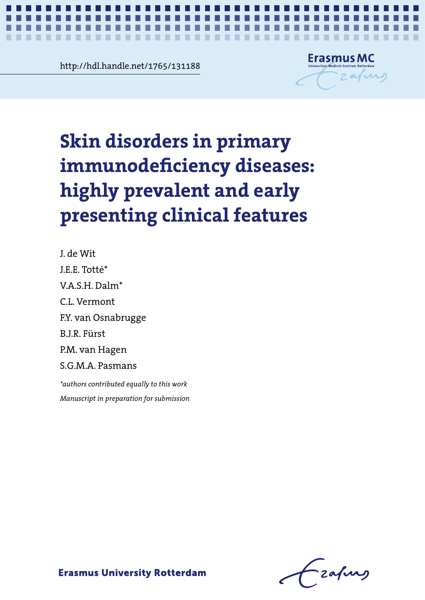**Contramediate 3.1251188**<br> **Contramediate 3.1251188** http://hdl.handle.net/1765/131188

.......

. . . .



*Skin disorders in primary immunodeficiency diseases* **1**

# Skin disorders in primary **Skin disorders in primary**  immunodeficiency diseases: highly prevalent and early present  $\frac{1}{2}$ **immunodeficiency diseases: highly prevalent and early presenting clinical features**

J. de Wit J.E.E. Totté\* V.A.S.H. Dalm\* C.L. Vermont F.Y. van Osnabrugge B.J.R. Fürst P.M. van Hagen S.G.M.A. Pasmans *\*authors contributed equally to this work*

J. de Wit J.E.E. Totté\* *Manuscript in preparation for submission*

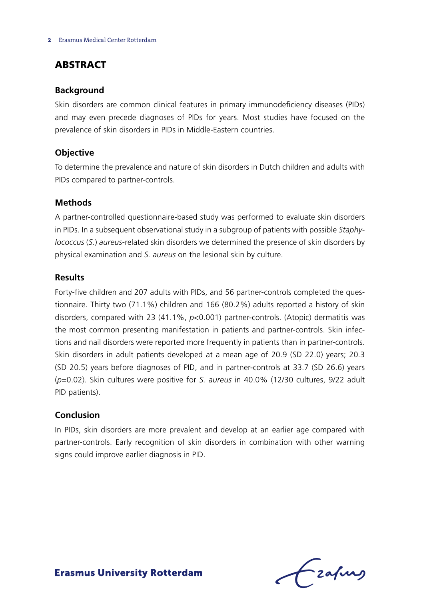# **ABSTRACT**

#### **Background**

Skin disorders are common clinical features in primary immunodeficiency diseases (PIDs) and may even precede diagnoses of PIDs for years. Most studies have focused on the prevalence of skin disorders in PIDs in Middle-Eastern countries.

#### **Objective**

To determine the prevalence and nature of skin disorders in Dutch children and adults with PIDs compared to partner-controls.

#### **Methods**

A partner-controlled questionnaire-based study was performed to evaluate skin disorders in PIDs. In a subsequent observational study in a subgroup of patients with possible *Staphylococcus* (*S.*) *aureus*-related skin disorders we determined the presence of skin disorders by physical examination and *S. aureus* on the lesional skin by culture.

#### **Results**

Forty-five children and 207 adults with PIDs, and 56 partner-controls completed the questionnaire. Thirty two (71.1%) children and 166 (80.2%) adults reported a history of skin disorders, compared with 23 (41.1%, *p*<0.001) partner-controls. (Atopic) dermatitis was the most common presenting manifestation in patients and partner-controls. Skin infections and nail disorders were reported more frequently in patients than in partner-controls. Skin disorders in adult patients developed at a mean age of 20.9 (SD 22.0) years; 20.3 (SD 20.5) years before diagnoses of PID, and in partner-controls at 33.7 (SD 26.6) years (*p*=0.02). Skin cultures were positive for *S. aureus* in 40.0% (12/30 cultures, 9/22 adult PID patients).

### **Conclusion**

In PIDs, skin disorders are more prevalent and develop at an earlier age compared with partner-controls. Early recognition of skin disorders in combination with other warning signs could improve earlier diagnosis in PID.

Frafing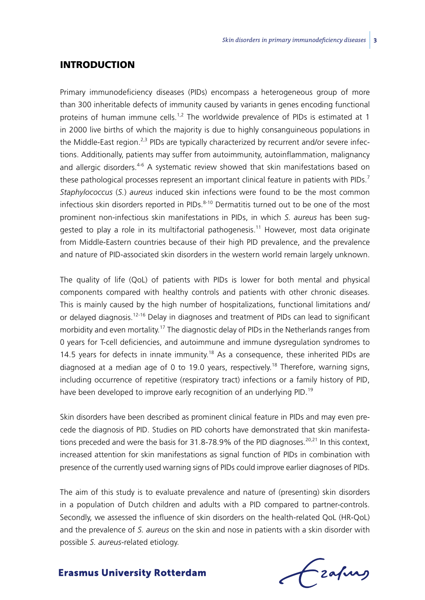### **INTRODUCTION**

Primary immunodeficiency diseases (PIDs) encompass a heterogeneous group of more than 300 inheritable defects of immunity caused by variants in genes encoding functional proteins of human immune cells.<sup>1,2</sup> The worldwide prevalence of PIDs is estimated at 1 in 2000 live births of which the majority is due to highly consanguineous populations in the Middle-East region.<sup>2,3</sup> PIDs are typically characterized by recurrent and/or severe infections. Additionally, patients may suffer from autoimmunity, autoinflammation, malignancy and allergic disorders.<sup>4-6</sup> A systematic review showed that skin manifestations based on these pathological processes represent an important clinical feature in patients with PIDs.<sup>7</sup> *Staphylococcus* (*S.*) *aureus* induced skin infections were found to be the most common infectious skin disorders reported in PIDs. $8-10$  Dermatitis turned out to be one of the most prominent non-infectious skin manifestations in PIDs, in which *S. aureus* has been suggested to play a role in its multifactorial pathogenesis.<sup>11</sup> However, most data originate from Middle-Eastern countries because of their high PID prevalence, and the prevalence and nature of PID-associated skin disorders in the western world remain largely unknown.

The quality of life (QoL) of patients with PIDs is lower for both mental and physical components compared with healthy controls and patients with other chronic diseases. This is mainly caused by the high number of hospitalizations, functional limitations and/ or delayed diagnosis.<sup>12-16</sup> Delay in diagnoses and treatment of PIDs can lead to significant morbidity and even mortality.17 The diagnostic delay of PIDs in the Netherlands ranges from 0 years for T-cell deficiencies, and autoimmune and immune dysregulation syndromes to 14.5 years for defects in innate immunity.<sup>18</sup> As a consequence, these inherited PIDs are diagnosed at a median age of 0 to 19.0 years, respectively.<sup>18</sup> Therefore, warning signs, including occurrence of repetitive (respiratory tract) infections or a family history of PID, have been developed to improve early recognition of an underlying PID.<sup>19</sup>

Skin disorders have been described as prominent clinical feature in PIDs and may even precede the diagnosis of PID. Studies on PID cohorts have demonstrated that skin manifestations preceded and were the basis for 31.8-78.9% of the PID diagnoses.<sup>20,21</sup> In this context, increased attention for skin manifestations as signal function of PIDs in combination with presence of the currently used warning signs of PIDs could improve earlier diagnoses of PIDs.

The aim of this study is to evaluate prevalence and nature of (presenting) skin disorders in a population of Dutch children and adults with a PID compared to partner-controls. Secondly, we assessed the influence of skin disorders on the health-related QoL (HR-QoL) and the prevalence of *S. aureus* on the skin and nose in patients with a skin disorder with possible *S. aureus*-related etiology.

Czafurg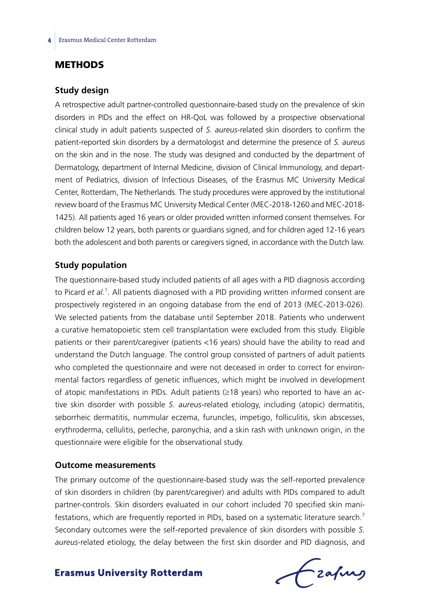## **METHODS**

#### **Study design**

A retrospective adult partner-controlled questionnaire-based study on the prevalence of skin disorders in PIDs and the effect on HR-QoL was followed by a prospective observational clinical study in adult patients suspected of *S. aureus*-related skin disorders to confirm the patient-reported skin disorders by a dermatologist and determine the presence of *S. aureus*  on the skin and in the nose. The study was designed and conducted by the department of Dermatology, department of Internal Medicine, division of Clinical Immunology, and department of Pediatrics, division of Infectious Diseases, of the Erasmus MC University Medical Center, Rotterdam, The Netherlands. The study procedures were approved by the institutional review board of the Erasmus MC University Medical Center (MEC-2018-1260 and MEC-2018- 1425). All patients aged 16 years or older provided written informed consent themselves. For children below 12 years, both parents or guardians signed, and for children aged 12-16 years both the adolescent and both parents or caregivers signed, in accordance with the Dutch law.

#### **Study population**

The questionnaire-based study included patients of all ages with a PID diagnosis according to Picard et al.<sup>1</sup>. All patients diagnosed with a PID providing written informed consent are prospectively registered in an ongoing database from the end of 2013 (MEC-2013-026). We selected patients from the database until September 2018. Patients who underwent a curative hematopoietic stem cell transplantation were excluded from this study. Eligible patients or their parent/caregiver (patients <16 years) should have the ability to read and understand the Dutch language. The control group consisted of partners of adult patients who completed the questionnaire and were not deceased in order to correct for environmental factors regardless of genetic influences, which might be involved in development of atopic manifestations in PIDs. Adult patients (≥18 years) who reported to have an active skin disorder with possible *S. aureus*-related etiology, including (atopic) dermatitis, seborrheic dermatitis, nummular eczema, furuncles, impetigo, folliculitis, skin abscesses, erythroderma, cellulitis, perleche, paronychia, and a skin rash with unknown origin, in the questionnaire were eligible for the observational study.

#### **Outcome measurements**

The primary outcome of the questionnaire-based study was the self-reported prevalence of skin disorders in children (by parent/caregiver) and adults with PIDs compared to adult partner-controls. Skin disorders evaluated in our cohort included 70 specified skin manifestations, which are frequently reported in PIDs, based on a systematic literature search.<sup>7</sup> Secondary outcomes were the self-reported prevalence of skin disorders with possible *S. aureus*-related etiology, the delay between the first skin disorder and PID diagnosis, and

Frahing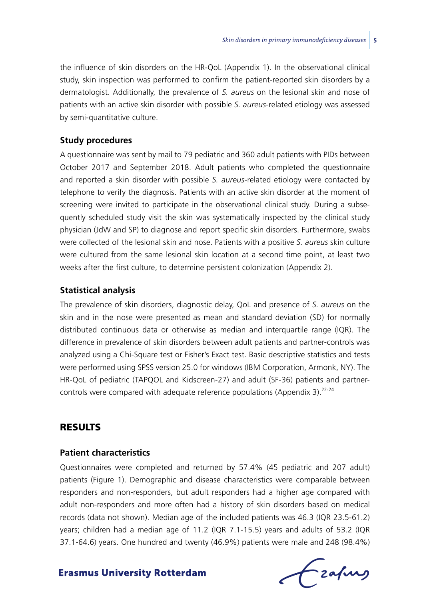the influence of skin disorders on the HR-QoL (Appendix 1). In the observational clinical study, skin inspection was performed to confirm the patient-reported skin disorders by a dermatologist. Additionally, the prevalence of *S. aureus* on the lesional skin and nose of patients with an active skin disorder with possible *S. aureus*-related etiology was assessed by semi-quantitative culture.

#### **Study procedures**

A questionnaire was sent by mail to 79 pediatric and 360 adult patients with PIDs between October 2017 and September 2018. Adult patients who completed the questionnaire and reported a skin disorder with possible *S. aureus*-related etiology were contacted by telephone to verify the diagnosis. Patients with an active skin disorder at the moment of screening were invited to participate in the observational clinical study. During a subsequently scheduled study visit the skin was systematically inspected by the clinical study physician (JdW and SP) to diagnose and report specific skin disorders. Furthermore, swabs were collected of the lesional skin and nose. Patients with a positive *S. aureus* skin culture were cultured from the same lesional skin location at a second time point, at least two weeks after the first culture, to determine persistent colonization (Appendix 2).

#### **Statistical analysis**

The prevalence of skin disorders, diagnostic delay, QoL and presence of *S. aureus* on the skin and in the nose were presented as mean and standard deviation (SD) for normally distributed continuous data or otherwise as median and interquartile range (IQR). The difference in prevalence of skin disorders between adult patients and partner-controls was analyzed using a Chi-Square test or Fisher's Exact test. Basic descriptive statistics and tests were performed using SPSS version 25.0 for windows (IBM Corporation, Armonk, NY). The HR-QoL of pediatric (TAPQOL and Kidscreen-27) and adult (SF-36) patients and partnercontrols were compared with adequate reference populations (Appendix 3).<sup>22-24</sup>

# **RESULTS**

## **Patient characteristics**

Questionnaires were completed and returned by 57.4% (45 pediatric and 207 adult) patients (Figure 1). Demographic and disease characteristics were comparable between responders and non-responders, but adult responders had a higher age compared with adult non-responders and more often had a history of skin disorders based on medical records (data not shown). Median age of the included patients was 46.3 (IQR 23.5-61.2) years; children had a median age of 11.2 (IQR 7.1-15.5) years and adults of 53.2 (IQR 37.1-64.6) years. One hundred and twenty (46.9%) patients were male and 248 (98.4%)

frafing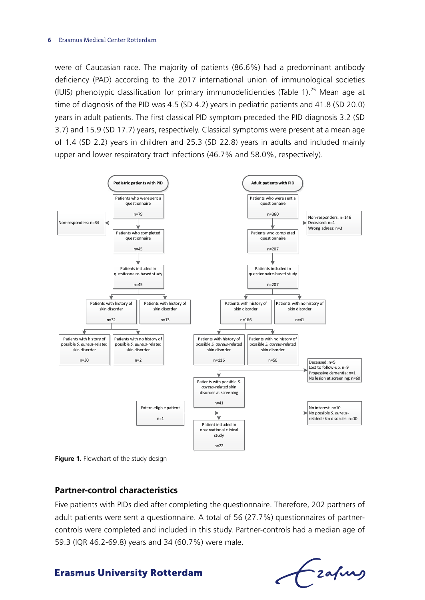#### **6** Erasmus Medical Center Rotterdam

were of Caucasian race. The majority of patients (86.6%) had a predominant antibody deficiency (PAD) according to the 2017 international union of immunological societies (IUIS) phenotypic classification for primary immunodeficiencies (Table 1).25 Mean age at time of diagnosis of the PID was 4.5 (SD 4.2) years in pediatric patients and 41.8 (SD 20.0) years in adult patients. The first classical PID symptom preceded the PID diagnosis 3.2 (SD 3.7) and 15.9 (SD 17.7) years, respectively. Classical symptoms were present at a mean age of 1.4 (SD 2.2) years in children and 25.3 (SD 22.8) years in adults and included mainly upper and lower respiratory tract infections (46.7% and 58.0%, respectively).



**Figure 1.** Flowchart of the study design

#### **Partner-control characteristics**

Five patients with PIDs died after completing the questionnaire. Therefore, 202 partners of adult patients were sent a questionnaire. A total of 56 (27.7%) questionnaires of partnercontrols were completed and included in this study. Partner-controls had a median age of 59.3 (IQR 46.2-69.8) years and 34 (60.7%) were male.

Frafing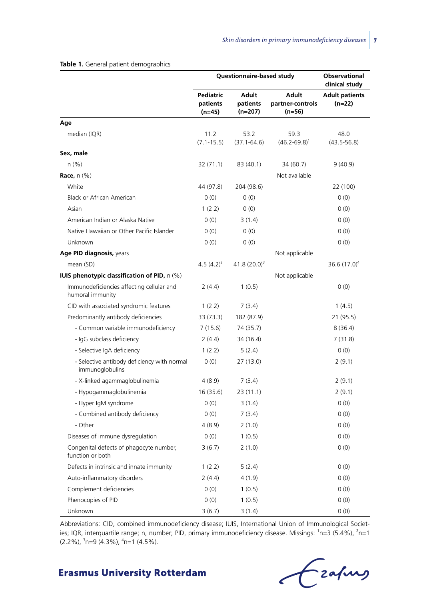|                                                                |                                 | Questionnaire-based study             |                                              | <b>Observational</b><br>clinical study |
|----------------------------------------------------------------|---------------------------------|---------------------------------------|----------------------------------------------|----------------------------------------|
|                                                                | Pediatric<br>patients<br>(n=45) | <b>Adult</b><br>patients<br>$(n=207)$ | <b>Adult</b><br>partner-controls<br>$(n=56)$ | <b>Adult patients</b><br>$(n=22)$      |
| Age                                                            |                                 |                                       |                                              |                                        |
| median (IQR)                                                   | 11.2<br>$(7.1 - 15.5)$          | 53.2<br>$(37.1 - 64.6)$               | 59.3<br>$(46.2 - 69.8)^1$                    | 48.0<br>$(43.5 - 56.8)$                |
| Sex, male                                                      |                                 |                                       |                                              |                                        |
| n(% )                                                          | 32 (71.1)                       | 83 (40.1)                             | 34 (60.7)                                    | 9(40.9)                                |
| <b>Race, n (%)</b>                                             |                                 |                                       | Not available                                |                                        |
| White                                                          | 44 (97.8)                       | 204 (98.6)                            |                                              | 22 (100)                               |
| Black or African American                                      | 0(0)                            | 0(0)                                  |                                              | 0(0)                                   |
| Asian                                                          | 1(2.2)                          | 0(0)                                  |                                              | 0(0)                                   |
| American Indian or Alaska Native                               | (0)                             | 3(1.4)                                |                                              | 0(0)                                   |
| Native Hawaiian or Other Pacific Islander                      | (0)                             | 0(0)                                  |                                              | (0)                                    |
| Unknown                                                        | 0(0)                            | 0(0)                                  |                                              | (0)                                    |
| Age PID diagnosis, years                                       |                                 |                                       | Not applicable                               |                                        |
| mean (SD)                                                      | 4.5 $(4.2)^2$                   | $41.8(20.0)^3$                        |                                              | 36.6 $(17.0)^4$                        |
| <b>IUIS phenotypic classification of PID, n (%)</b>            |                                 |                                       | Not applicable                               |                                        |
| Immunodeficiencies affecting cellular and<br>humoral immunity  | 2(4.4)                          | 1(0.5)                                |                                              | 0(0)                                   |
| CID with associated syndromic features                         | 1(2.2)                          | 7(3.4)                                |                                              | 1(4.5)                                 |
| Predominantly antibody deficiencies                            | 33 (73.3)                       | 182 (87.9)                            |                                              | 21 (95.5)                              |
| - Common variable immunodeficiency                             | 7(15.6)                         | 74 (35.7)                             |                                              | 8(36.4)                                |
| - IgG subclass deficiency                                      | 2(4.4)                          | 34 (16.4)                             |                                              | 7(31.8)                                |
| - Selective IgA deficiency                                     | 1(2.2)                          | 5(2.4)                                |                                              | 0(0)                                   |
| - Selective antibody deficiency with normal<br>immunoglobulins | 0(0)                            | 27(13.0)                              |                                              | 2(9.1)                                 |
| - X-linked agammaglobulinemia                                  | 4(8.9)                          | 7(3.4)                                |                                              | 2(9.1)                                 |
| - Hypogammaglobulinemia                                        | 16(35.6)                        | 23(11.1)                              |                                              | 2(9.1)                                 |
| - Hyper IgM syndrome                                           | 0(0)                            | 3(1.4)                                |                                              | 0(0)                                   |
| - Combined antibody deficiency                                 | (0)                             | 7(3.4)                                |                                              | 0(0)                                   |
| - Other                                                        | 4(8.9)                          | 2(1.0)                                |                                              | 0(0)                                   |
| Diseases of immune dysregulation                               | 0(0)                            | 1(0.5)                                |                                              | 0(0)                                   |
| Congenital defects of phagocyte number,<br>function or both    | 3(6.7)                          | 2(1.0)                                |                                              | 0(0)                                   |
| Defects in intrinsic and innate immunity                       | 1(2.2)                          | 5(2.4)                                |                                              | 0(0)                                   |
| Auto-inflammatory disorders                                    | 2(4.4)                          | 4 (1.9)                               |                                              | 0(0)                                   |
| Complement deficiencies                                        | 0(0)                            | 1(0.5)                                |                                              | 0(0)                                   |
| Phenocopies of PID                                             | 0(0)                            | 1(0.5)                                |                                              | 0(0)                                   |
| Unknown                                                        | 3(6.7)                          | 3(1.4)                                |                                              | 0(0)                                   |

#### **Table 1.** General patient demographics

Abbreviations: CID, combined immunodeficiency disease; IUIS, International Union of Immunological Societies; IQR, interquartile range; n, number; PID, primary immunodeficiency disease. Missings: <sup>1</sup>n=3 (5.4%), <sup>2</sup>n=1 (2.2%), <sup>3</sup>n=9 (4.3%), <sup>4</sup>n=1 (4.5%).

Frafing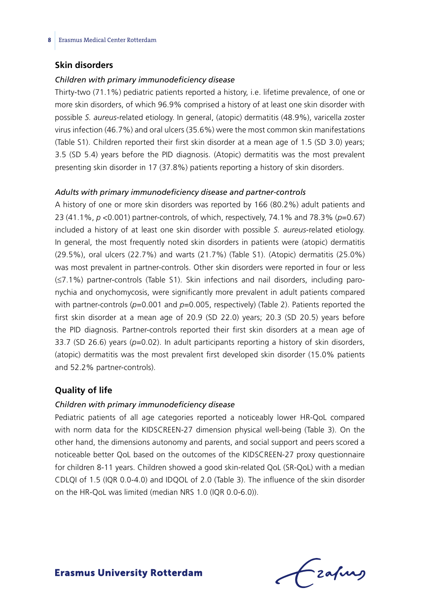### **Skin disorders**

#### *Children with primary immunodeficiency disease*

Thirty-two (71.1%) pediatric patients reported a history, i.e. lifetime prevalence, of one or more skin disorders, of which 96.9% comprised a history of at least one skin disorder with possible *S. aureus*-related etiology. In general, (atopic) dermatitis (48.9%), varicella zoster virus infection (46.7%) and oral ulcers (35.6%) were the most common skin manifestations (Table S1). Children reported their first skin disorder at a mean age of 1.5 (SD 3.0) years; 3.5 (SD 5.4) years before the PID diagnosis. (Atopic) dermatitis was the most prevalent presenting skin disorder in 17 (37.8%) patients reporting a history of skin disorders.

#### *Adults with primary immunodeficiency disease and partner-controls*

A history of one or more skin disorders was reported by 166 (80.2%) adult patients and 23 (41.1%, *p* <0.001) partner-controls, of which, respectively, 74.1% and 78.3% (*p*=0.67) included a history of at least one skin disorder with possible *S. aureus*-related etiology. In general, the most frequently noted skin disorders in patients were (atopic) dermatitis (29.5%), oral ulcers (22.7%) and warts (21.7%) (Table S1). (Atopic) dermatitis (25.0%) was most prevalent in partner-controls. Other skin disorders were reported in four or less (≤7.1%) partner-controls (Table S1). Skin infections and nail disorders, including paronychia and onychomycosis, were significantly more prevalent in adult patients compared with partner-controls ( $p=0.001$  and  $p=0.005$ , respectively) (Table 2). Patients reported the first skin disorder at a mean age of 20.9 (SD 22.0) years; 20.3 (SD 20.5) years before the PID diagnosis. Partner-controls reported their first skin disorders at a mean age of 33.7 (SD 26.6) years (*p*=0.02). In adult participants reporting a history of skin disorders, (atopic) dermatitis was the most prevalent first developed skin disorder (15.0% patients and 52.2% partner-controls).

## **Quality of life**

#### *Children with primary immunodeficiency disease*

Pediatric patients of all age categories reported a noticeably lower HR-QoL compared with norm data for the KIDSCREEN-27 dimension physical well-being (Table 3). On the other hand, the dimensions autonomy and parents, and social support and peers scored a noticeable better QoL based on the outcomes of the KIDSCREEN-27 proxy questionnaire for children 8-11 years. Children showed a good skin-related QoL (SR-QoL) with a median CDLQI of 1.5 (IQR 0.0-4.0) and IDQOL of 2.0 (Table 3). The influence of the skin disorder on the HR-QoL was limited (median NRS 1.0 (IQR 0.0-6.0)).

Frafing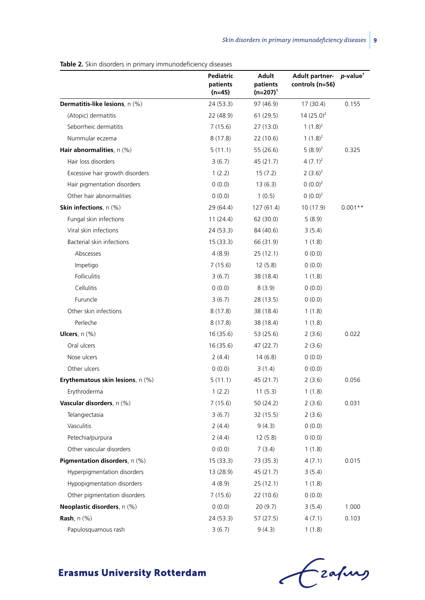**Table 2.** Skin disorders in primary immunodeficiency diseases

|                                       | Pediatric<br>patients<br>(n=45) | Adult<br>patients<br>(n=207) <sup>1</sup> | <b>Adult partner-</b><br>controls (n=56) | p-value <sup>†</sup> |
|---------------------------------------|---------------------------------|-------------------------------------------|------------------------------------------|----------------------|
| Dermatitis-like lesions, n (%)        | 24 (53.3)                       | 97 (46.9)                                 | 17(30.4)                                 | 0.155                |
| (Atopic) dermatitis                   | 22 (48.9)                       | 61 (29.5)                                 | $14(25.0)^2$                             |                      |
| Seborrheic dermatitis                 | 7(15.6)                         | 27 (13.0)                                 | $1(1.8)^2$                               |                      |
| Nummular eczema                       | 8(17.8)                         | 22 (10.6)                                 | 1 $(1.8)^2$                              |                      |
| Hair abnormalities, n (%)             | 5(11.1)                         | 55 (26.6)                                 | $5(8.9)^2$                               | 0.325                |
| Hair loss disorders                   | 3(6.7)                          | 45 (21.7)                                 | $4(7.1)^2$                               |                      |
| Excessive hair growth disorders       | 1(2.2)                          | 15(7.2)                                   | $2(3.6)^2$                               |                      |
| Hair pigmentation disorders           | 0(0.0)                          | 13(6.3)                                   | $0(0.0)^2$                               |                      |
| Other hair abnormalities              | 0(0.0)                          | 1(0.5)                                    | $(0.0)^2$                                |                      |
| <b>Skin infections</b> , $n$ (%)      | 29 (64.4)                       | 127 (61.4)                                | 10 (17.9)                                | $0.001**$            |
| Fungal skin infections                | 11(24.4)                        | 62 (30.0)                                 | 5(8.9)                                   |                      |
| Viral skin infections                 | 24 (53.3)                       | 84 (40.6)                                 | 3(5.4)                                   |                      |
| Bacterial skin infections             | 15(33.3)                        | 66 (31.9)                                 | 1(1.8)                                   |                      |
| Abscesses                             | 4(8.9)                          | 25(12.1)                                  | 0(0.0)                                   |                      |
| Impetigo                              | 7(15.6)                         | 12(5.8)                                   | 0(0.0)                                   |                      |
| <b>Folliculitis</b>                   | 3(6.7)                          | 38 (18.4)                                 | 1(1.8)                                   |                      |
| Cellulitis                            | 0(0.0)                          | 8(3.9)                                    | 0(0.0)                                   |                      |
| Furuncle                              | 3(6.7)                          | 28 (13.5)                                 | 0(0.0)                                   |                      |
| Other skin infections                 | 8(17.8)                         | 38 (18.4)                                 | 1(1.8)                                   |                      |
| Perleche                              | 8(17.8)                         | 38 (18.4)                                 | 1(1.8)                                   |                      |
| Ulcers, $n$ $(\%)$                    | 16 (35.6)                       | 53 (25.6)                                 | 2(3.6)                                   | 0.022                |
| Oral ulcers                           | 16(35.6)                        | 47 (22.7)                                 | 2(3.6)                                   |                      |
| Nose ulcers                           | 2(4.4)                          | 14(6.8)                                   | 0(0.0)                                   |                      |
| Other ulcers                          | 0(0.0)                          | 3(1.4)                                    | 0(0.0)                                   |                      |
| Erythematous skin lesions, n (%)      | 5(11.1)                         | 45 (21.7)                                 | 2(3.6)                                   | 0.056                |
| Erythroderma                          | 1(2.2)                          | 11(5.3)                                   | 1(1.8)                                   |                      |
| Vascular disorders, n (%)             | 7(15.6)                         | 50 (24.2)                                 | 2(3.6)                                   | 0.031                |
| Telangiectasia                        | 3(6.7)                          | 32 (15.5)                                 | 2(3.6)                                   |                      |
| Vasculitis                            | 2(4.4)                          | 9(4.3)                                    | 0(0.0)                                   |                      |
| Petechia/purpura                      | 2(4.4)                          | 12(5.8)                                   | 0(0.0)                                   |                      |
| Other vascular disorders              | 0(0.0)                          | 7(3.4)                                    | 1(1.8)                                   |                      |
| <b>Pigmentation disorders</b> , n (%) | 15(33.3)                        | 73 (35.3)                                 | 4(7.1)                                   | 0.015                |
| Hyperpigmentation disorders           | 13 (28.9)                       | 45 (21.7)                                 | 3(5.4)                                   |                      |
| Hypopigmentation disorders            | 4(8.9)                          | 25 (12.1)                                 | 1(1.8)                                   |                      |
| Other pigmentation disorders          | 7(15.6)                         | 22 (10.6)                                 | 0(0.0)                                   |                      |
| Neoplastic disorders, n (%)           | 0(0.0)                          | 20(9.7)                                   | 3(5.4)                                   | 1.000                |
| Rash, n (%)                           | 24 (53.3)                       | 57 (27.5)                                 | 4(7.1)                                   | 0.103                |
| Papulosquamous rash                   | 3(6.7)                          | 9(4.3)                                    | 1(1.8)                                   |                      |

Czapus  $\epsilon$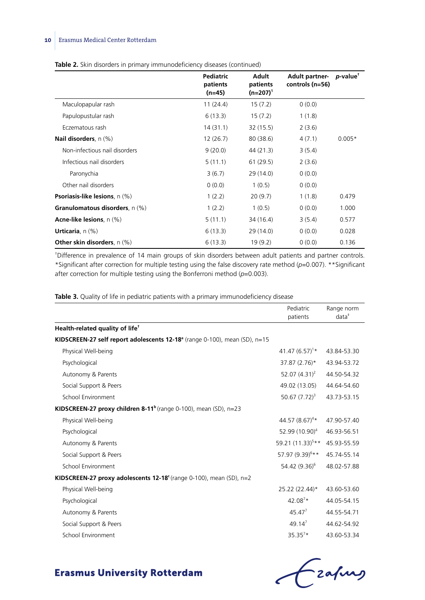|  |  |  | <b>Table 2.</b> Skin disorders in primary immunodeficiency diseases (continued) |  |
|--|--|--|---------------------------------------------------------------------------------|--|
|--|--|--|---------------------------------------------------------------------------------|--|

|                                       | Pediatric<br>patients<br>$(n=45)$ | Adult<br>patients<br>$(n=207)^1$ | <b>Adult partner-</b><br>controls (n=56) | <i>p</i> -value <sup>†</sup> |
|---------------------------------------|-----------------------------------|----------------------------------|------------------------------------------|------------------------------|
| Maculopapular rash                    | 11(24.4)                          | 15(7.2)                          | 0(0.0)                                   |                              |
| Papulopustular rash                   | 6(13.3)                           | 15(7.2)                          | 1(1.8)                                   |                              |
| Eczematous rash                       | 14(31.1)                          | 32(15.5)                         | 2(3.6)                                   |                              |
| <b>Nail disorders</b> , n (%)         | 12(26.7)                          | 80(38.6)                         | 4(7.1)                                   | $0.005*$                     |
| Non-infectious nail disorders         | 9(20.0)                           | 44 (21.3)                        | 3(5.4)                                   |                              |
| Infectious nail disorders             | 5(11.1)                           | 61(29.5)                         | 2(3.6)                                   |                              |
| Paronychia                            | 3(6.7)                            | 29(14.0)                         | 0(0.0)                                   |                              |
| Other nail disorders                  | 0(0.0)                            | 1(0.5)                           | 0(0.0)                                   |                              |
| <b>Psoriasis-like lesions</b> , n (%) | 1(2.2)                            | 20(9.7)                          | 1(1.8)                                   | 0.479                        |
| Granulomatous disorders, n (%)        | 1(2.2)                            | 1(0.5)                           | 0(0.0)                                   | 1.000                        |
| Acne-like lesions, n (%)              | 5(11.1)                           | 34 (16.4)                        | 3(5.4)                                   | 0.577                        |
| <b>Urticaria</b> , $n$ $(\%)$         | 6(13.3)                           | 29 (14.0)                        | 0(0.0)                                   | 0.028                        |
| <b>Other skin disorders</b> , n (%)   | 6(13.3)                           | 19(9.2)                          | 0(0.0)                                   | 0.136                        |

† Difference in prevalence of 14 main groups of skin disorders between adult patients and partner controls. \*Significant after correction for multiple testing using the false discovery rate method (*p*=0.007). \*\*Significant after correction for multiple testing using the Bonferroni method (*p*=0.003).

|  |  |  |  |  |  |  |  | <b>Table 3.</b> Quality of life in pediatric patients with a primary immunodeficiency disease |  |
|--|--|--|--|--|--|--|--|-----------------------------------------------------------------------------------------------|--|
|--|--|--|--|--|--|--|--|-----------------------------------------------------------------------------------------------|--|

|                                                                                | Pediatric<br>patients        | Range norm<br>$data^*$ |
|--------------------------------------------------------------------------------|------------------------------|------------------------|
| Health-related quality of life <sup>+</sup>                                    |                              |                        |
| KIDSCREEN-27 self report adolescents $12-18^a$ (range 0-100), mean (SD), n=15  |                              |                        |
| Physical Well-being                                                            | 41.47 $(6.57)^{1*}$          | 43.84-53.30            |
| Psychological                                                                  | 37.87 (2.76)*                | 43.94-53.72            |
| Autonomy & Parents                                                             | 52.07 $(4.31)^2$             | 44.50-54.32            |
| Social Support & Peers                                                         | 49.02 (13.05)                | 44.64-54.60            |
| School Environment                                                             | 50.67 $(7.72)^3$             | 43.73-53.15            |
| KIDSCREEN-27 proxy children 8-11 <sup>b</sup> (range 0-100), mean (SD), $n=23$ |                              |                        |
| Physical Well-being                                                            | 44.57 $(8.67)^{4*}$          | 47.90-57.40            |
| Psychological                                                                  | 52.99 (10.90) <sup>4</sup>   | 46.93-56.51            |
| Autonomy & Parents                                                             | 59.21 (11.33) <sup>5**</sup> | 45.93-55.59            |
| Social Support & Peers                                                         | 57.97 (9.39) <sup>6**</sup>  | 45.74-55.14            |
| School Environment                                                             | 54.42 (9.36) <sup>6</sup>    | 48.02-57.88            |
| KIDSCREEN-27 proxy adolescents 12-18 $\epsilon$ (range 0-100), mean (SD), n=2  |                              |                        |
| Physical Well-being                                                            | 25.22 (22.44)*               | 43.60-53.60            |
| Psychological                                                                  | $42.08^{7*}$                 | 44.05-54.15            |
| Autonomy & Parents                                                             | $45.47^{7}$                  | 44.55-54.71            |
| Social Support & Peers                                                         | $49.14^{7}$                  | 44.62-54.92            |
| School Environment                                                             | $35.35^{7*}$                 | 43.60-53.34            |

Czapus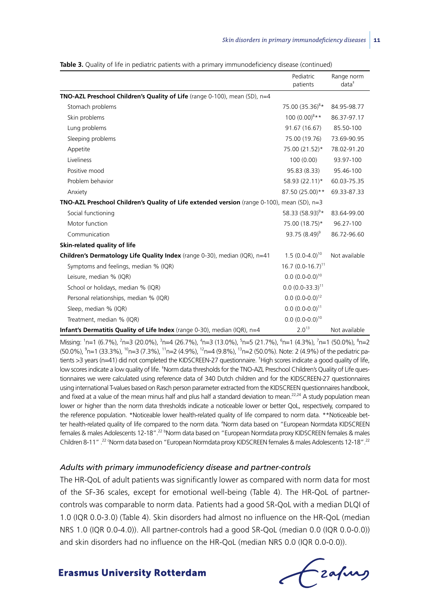|                                                                                                      | Pediatric<br>patients       | Range norm<br>$data^*$ |
|------------------------------------------------------------------------------------------------------|-----------------------------|------------------------|
| TNO-AZL Preschool Children's Quality of Life (range 0-100), mean (SD), n=4                           |                             |                        |
| Stomach problems                                                                                     | 75.00 (35.36) <sup>8*</sup> | 84.95-98.77            |
| Skin problems                                                                                        | $100(0.00)^{8**}$           | 86.37-97.17            |
| Lung problems                                                                                        | 91.67 (16.67)               | 85.50-100              |
| Sleeping problems                                                                                    | 75.00 (19.76)               | 73.69-90.95            |
| Appetite                                                                                             | 75.00 (21.52)*              | 78.02-91.20            |
| Liveliness                                                                                           | 100(0.00)                   | 93.97-100              |
| Positive mood                                                                                        | 95.83 (8.33)                | 95.46-100              |
| Problem behavior                                                                                     | 58.93 (22.11)*              | 60.03-75.35            |
| Anxiety                                                                                              | 87.50 (25.00)**             | 69.33-87.33            |
| <b>TNO-AZL Preschool Children's Quality of Life extended version</b> (range 0-100), mean (SD), $n=3$ |                             |                        |
| Social functioning                                                                                   | 58.33 $(58.93)^9*$          | 83.64-99.00            |
| Motor function                                                                                       | 75.00 (18.75)*              | 96.27-100              |
| Communication                                                                                        | 93.75 $(8.49)^9$            | 86.72-96.60            |
| Skin-related quality of life                                                                         |                             |                        |
| Children's Dermatology Life Quality Index (range 0-30), median (IQR), n=41                           | $1.5(0.0-4.0)^{10}$         | Not available          |
| Symptoms and feelings, median % (IQR)                                                                | $16.7(0.0-16.7)^{11}$       |                        |
| Leisure, median % (IQR)                                                                              | $0.0 (0.0 - 0.0)^{10}$      |                        |
| School or holidays, median % (IQR)                                                                   | $0.0 (0.0 - 33.3)^{11}$     |                        |
| Personal relationships, median % (IQR)                                                               | $0.0 (0.0 - 0.0)^{12}$      |                        |
| Sleep, median % (IQR)                                                                                | $0.0 (0.0 - 0.0)^{11}$      |                        |
| Treatment, median % (IQR)                                                                            | $0.0 (0.0 - 0.0)^{10}$      |                        |
| Infant's Dermatitis Quality of Life Index (range 0-30), median (IQR), n=4                            | 2.0 <sup>13</sup>           | Not available          |

**Table 3.** Quality of life in pediatric patients with a primary immunodeficiency disease (continued)

Missing: <sup>1</sup>n=1 (6.7%), <sup>2</sup>n=3 (20.0%), <sup>3</sup>n=4 (26.7%), <sup>4</sup>n=3 (13.0%), <sup>5</sup>n=5 (21.7%), <sup>6</sup>n=1 (4.3%), <sup>7</sup>n=1 (50.0%), <sup>8</sup>n=2 (50.0%), <sup>9</sup>n=1 (33.3%), <sup>10</sup>n=3 (7.3%), <sup>11</sup>n=2 (4.9%), <sup>12</sup>n=4 (9.8%), <sup>13</sup>n=2 (50.0%). Note: 2 (4.9%) of the pediatric patients >3 years (n=41) did not completed the KIDSCREEN-27 questionnaire. † High scores indicate a good quality of life, low scores indicate a low quality of life. <sup>\*</sup>Norm data thresholds for the TNO-AZL Preschool Children's Quality of Life questionnaires we were calculated using reference data of 340 Dutch children and for the KIDSCREEN-27 questionnaires using international T-values based on Rasch person parameter extracted from the KIDSCREEN questionnaires handbook, and fixed at a value of the mean minus half and plus half a standard deviation to mean.<sup>22,24</sup> A study population mean lower or higher than the norm data thresholds indicate a noticeable lower or better QoL, respectively, compared to the reference population. \*Noticeable lower health-related quality of life compared to norm data. \*\*Noticeable better health-related quality of life compared to the norm data. <sup>a</sup>Norm data based on "European Normdata KIDSCREEN females & males Adolescents 12-18".<sup>22 b</sup>Norm data based on "European Normdata proxy KIDSCREEN females & males Children 8-11".<sup>22</sup> 'Norm data based on "European Normdata proxy KIDSCREEN females & males Adolescents 12-18".<sup>22</sup>

#### *Adults with primary immunodeficiency disease and partner-controls*

The HR-QoL of adult patients was significantly lower as compared with norm data for most of the SF-36 scales, except for emotional well-being (Table 4). The HR-QoL of partnercontrols was comparable to norm data. Patients had a good SR-QoL with a median DLQI of 1.0 (IQR 0.0-3.0) (Table 4). Skin disorders had almost no influence on the HR-QoL (median NRS 1.0 (IQR 0.0-4.0)). All partner-controls had a good SR-QoL (median 0.0 (IQR 0.0-0.0)) and skin disorders had no influence on the HR-QoL (median NRS 0.0 (IQR 0.0-0.0)).

Lzafurs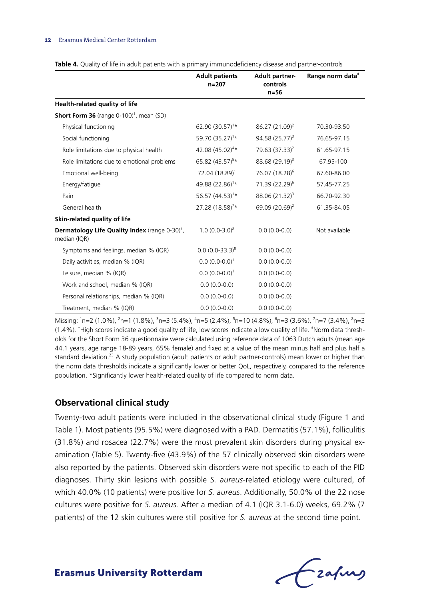|                                                                            | <b>Adult patients</b><br>$n = 207$ | <b>Adult partner</b><br>controls<br>$n=56$ | Range norm data <sup>*</sup> |
|----------------------------------------------------------------------------|------------------------------------|--------------------------------------------|------------------------------|
| Health-related quality of life                                             |                                    |                                            |                              |
| <b>Short Form 36</b> (range $0-100$ ) <sup>†</sup> , mean (SD)             |                                    |                                            |                              |
| Physical functioning                                                       | 62.90 $(30.57)^{1*}$               | $86.27(21.09)^2$                           | 70.30-93.50                  |
| Social functioning                                                         | 59.70 (35.27) <sup>1</sup> *       | $94.58(25.77)^3$                           | 76.65-97.15                  |
| Role limitations due to physical health                                    | 42.08 (45.02) <sup>4*</sup>        | 79.63 (37.33) <sup>2</sup>                 | 61.65-97.15                  |
| Role limitations due to emotional problems                                 | 65.82 (43.57) <sup>5*</sup>        | $88.68(29.19)^3$                           | 67.95-100                    |
| Emotional well-being                                                       | 72.04 (18.89) <sup>1</sup>         | 76.07 (18.28) <sup>6</sup>                 | 67.60-86.00                  |
| Energy/fatigue                                                             | 49.88 (22.86) <sup>1</sup> *       | 71.39 (22.29) <sup>6</sup>                 | 57.45-77.25                  |
| Pain                                                                       | 56.57 $(44.53)^{1*}$               | $88.06(21.32)^3$                           | 66.70-92.30                  |
| General health                                                             | 27.28 (18.58) <sup>7</sup> *       | 69.09 (20.69) <sup>2</sup>                 | 61.35-84.05                  |
| Skin-related quality of life                                               |                                    |                                            |                              |
| Dermatology Life Quality Index (range 0-30) <sup>†</sup> ,<br>median (IQR) | $1.0(0.0-3.0)^8$                   | $0.0(0.0-0.0)$                             | Not available                |
| Symptoms and feelings, median % (IQR)                                      | $0.0 (0.0 - 33.3)^8$               | $0.0(0.0-0.0)$                             |                              |
| Daily activities, median % (IQR)                                           | $0.0 (0.0 - 0.0)^1$                | $0.0(0.0-0.0)$                             |                              |
| Leisure, median % (IQR)                                                    | $0.0 (0.0 - 0.0)^1$                | $0.0(0.0-0.0)$                             |                              |
| Work and school, median % (IQR)                                            | $0.0(0.0-0.0)$                     | $0.0(0.0-0.0)$                             |                              |
| Personal relationships, median % (IQR)                                     | $0.0(0.0-0.0)$                     | $0.0(0.0-0.0)$                             |                              |
| Treatment, median % (IQR)                                                  | $0.0(0.0-0.0)$                     | $0.0(0.0-0.0)$                             |                              |

Missing: <sup>1</sup>n=2 (1.0%), <sup>2</sup>n=1 (1.8%), <sup>3</sup>n=3 (5.4%), <sup>4</sup>n=5 (2.4%), <sup>5</sup>n=10 (4.8%), <sup>6</sup>n=3 (3.6%), <sup>7</sup>n=7 (3.4%), <sup>8</sup>n=3 (1.4%). † High scores indicate a good quality of life, low scores indicate a low quality of life. ‡ Norm data thresholds for the Short Form 36 questionnaire were calculated using reference data of 1063 Dutch adults (mean age 44.1 years, age range 18-89 years, 65% female) and fixed at a value of the mean minus half and plus half a standard deviation.<sup>23</sup> A study population (adult patients or adult partner-controls) mean lower or higher than the norm data thresholds indicate a significantly lower or better QoL, respectively, compared to the reference population. \*Significantly lower health-related quality of life compared to norm data.

#### **Observational clinical study**

Twenty-two adult patients were included in the observational clinical study (Figure 1 and Table 1). Most patients (95.5%) were diagnosed with a PAD. Dermatitis (57.1%), folliculitis (31.8%) and rosacea (22.7%) were the most prevalent skin disorders during physical examination (Table 5). Twenty-five (43.9%) of the 57 clinically observed skin disorders were also reported by the patients. Observed skin disorders were not specific to each of the PID diagnoses. Thirty skin lesions with possible *S. aureus*-related etiology were cultured, of which 40.0% (10 patients) were positive for *S. aureus*. Additionally, 50.0% of the 22 nose cultures were positive for *S. aureus.* After a median of 4.1 (IQR 3.1-6.0) weeks, 69.2% (7 patients) of the 12 skin cultures were still positive for *S. aureus* at the second time point.

Frafing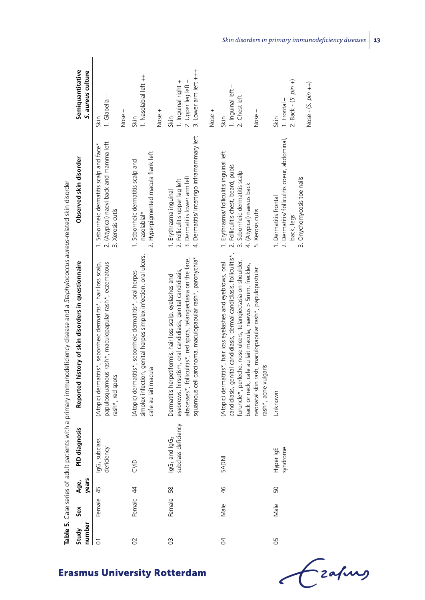| number<br>Study | š         | years<br>Age, | agnosis<br>PID di                                            | Reported history of skin disorders in questionnaire                                                                                                                                                                                                                                                                                                    | Observed skin disorder                                                                                                                                              | Semiquantitative<br>S. aureus culture                                       |
|-----------------|-----------|---------------|--------------------------------------------------------------|--------------------------------------------------------------------------------------------------------------------------------------------------------------------------------------------------------------------------------------------------------------------------------------------------------------------------------------------------------|---------------------------------------------------------------------------------------------------------------------------------------------------------------------|-----------------------------------------------------------------------------|
| 5               | Female    | 45            | -lass<br>IgG <sub>1</sub> subc<br>deficiency                 | papulosquamous rash*, maculopapular rash*, eczematous<br>(Atopic) dermatitis*, seborrheic dermatitis*, hair loss scalp,<br>rash*, red spots                                                                                                                                                                                                            | 2. (Atypical) naevi back and mamma left<br>1. Seborrheic dermatitis scalp and face*<br>3. Xerosis cutis                                                             | 1. Glabella -<br>Skin                                                       |
|                 |           |               |                                                              |                                                                                                                                                                                                                                                                                                                                                        |                                                                                                                                                                     | Nose-                                                                       |
| $\overline{O}$  | Female 44 |               | CVID                                                         | simplex infection, genital herpes simplex infection, oral ulcers,<br>(Atopic) dermatitis*, seborrheic dermatitis*, oral herpes<br>cafe au lait macula                                                                                                                                                                                                  | 2. Hyperpigmented macula flank left<br>1. Seborrheic dermatitis scalp and<br>nasolabial*                                                                            | 1. Nasolabial left ++<br>Nose +<br>Skin                                     |
|                 |           |               |                                                              |                                                                                                                                                                                                                                                                                                                                                        |                                                                                                                                                                     |                                                                             |
| $\overline{0}$  | Female    | 58            | lgG <sub>1</sub> and lgG <sub>2</sub><br>subclass deficiency | squamous cell carcinoma, maculopapular rash*, paronychia*<br>abscesses*, folliculitis*, red spots, telangiectasia on the face,<br>eyebrows, hirsutism, oral candidiasis, genital candidiasis,<br>Dermatitis herpetiformis, hair loss scalp, eyelashes and                                                                                              | 4. Dermatitis/ intertrigo inframammary left<br>3. Dermatitis lower arm left<br>2. Folliculitis upper leg left<br>1. Erythrasma inguinal                             | 3. Lower arm left +++<br>1. Inguinal right +<br>2. Upper leg left –<br>Skin |
|                 |           |               |                                                              |                                                                                                                                                                                                                                                                                                                                                        |                                                                                                                                                                     | Nose +                                                                      |
| $\overline{6}$  | Male      | 46            | <b>NOWS</b>                                                  | candidiasis, genital candidiasis, dermal candidiasis, folliculitis*,<br>furuncle*, perleche, nose ulcers, telangiectasia on shoulder,<br>(Atopic) dermatitis*, hair loss eyelashes and eyebrows, oral<br>back or neck, cafe au lait macula, naevus > 5mm, freckles,<br>neonatal skin rash, maculopapular rash*, papulopustular<br>rash*, acne vulgaris | 1. Erythrasma/ folliculitis inguinal left<br>2. Folliculitis chest, beard, pubis<br>3. Seborrheic dermatitis scalp<br>4. (Atypical) naevus back<br>5. Xerosis cutis | 1. Inguinal left -<br>2. Chest left -<br>Nose-<br>Skin                      |
| 50              | Male      | 50            | Hyper IgE<br>syndrome                                        | Unknown                                                                                                                                                                                                                                                                                                                                                | 2. Dermatitis/ folliculitis coeur, abdominal,<br>3. Onychomycosis toe nails<br>1. Dermatitis frontal<br>back, legs                                                  | 2. Back - $(S. pin +)$<br>Nose - $(S. pin++)$<br>1. Frontal-<br>Skin        |

# **Erasmus University Rotterdam**

Grafing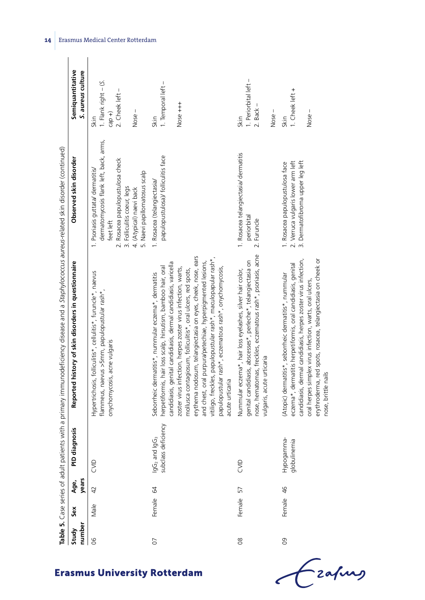|                 |           |               |                                                              | Table 5. Case series of adult patients with a primary immunodeficiency disease and a Staphylococcus aureus-related skin disorder (continued)                                                                                                                                                                                                                                                                                                                                                                                                                                                         |                                                                                                                                                                                                                          |                                                                      |
|-----------------|-----------|---------------|--------------------------------------------------------------|------------------------------------------------------------------------------------------------------------------------------------------------------------------------------------------------------------------------------------------------------------------------------------------------------------------------------------------------------------------------------------------------------------------------------------------------------------------------------------------------------------------------------------------------------------------------------------------------------|--------------------------------------------------------------------------------------------------------------------------------------------------------------------------------------------------------------------------|----------------------------------------------------------------------|
| number<br>Study | Sex       | years<br>Age, | PID diagnosis                                                | Reported history of skin disorders in questionnaire                                                                                                                                                                                                                                                                                                                                                                                                                                                                                                                                                  | Observed skin disorder                                                                                                                                                                                                   | Semiquantitative<br>S. aureus culture                                |
| 80              | Male      | 42            | CVID                                                         | Hypertrichosis, folliculitis*, cellulitis*, furuncle*, naevus<br>flammeus, naevus >5mm, papulopustular rash*,<br>onychomycosis, acne vulgaris                                                                                                                                                                                                                                                                                                                                                                                                                                                        | dermatomycosis flank left, back, arms,<br>2. Rosacea papulopustulosa check<br>1. Psoriasis guttata/ dermatitis/<br>5. Naevi papillomatosus scalp<br>3. Folliculitis coeur, legs<br>4. (Atypical) naevi back<br>feet left | 1. Flank right - (S.<br>2. Cheek left -<br>Nose-<br>$cap +)$<br>Skin |
| 07              | Female 64 |               | subclass deficiency<br>IgG <sub>2</sub> and IgG <sub>3</sub> | erythema nodosum, telangiectasia on eyes, cheek, nose, ears<br>vitiligo, freckles, papulopustular rash*, maculopapular rash*,<br>and chest, oral purpura/petechiae, hyperpigmented lesions,<br>candidiasis, genital candidiasis, dermal candidiasis, varicella<br>herpetiformis, hair loss scalp, hirsutism, bamboo hair, oral<br>papulopustular rash*, eczematous rash*, onychomycosis,<br>zoster virus infection, herpes zoster virus infection, warts,<br>mollusca contagiosum, folliculitis*, oral ulcers, red spots,<br>Seborrheic dermatitis*, nummular eczema*, dermatitis<br>acute urticaria | papulopustulosa)/ folliculitis face<br>1. Rosacea (telangiectasia/                                                                                                                                                       | 1. Temporal left -<br>$Nose + + +$<br>Skin                           |
| $\frac{8}{2}$   | Female 57 |               | CVID                                                         | nose, hematomas, freckles, eczematous rash*, psoriasis, acne<br>genital candidiasis, abscesses*, perleche*, telangiectasia on<br>Nummular eczema*, hair loss eyelashes, silver hair color,<br>vulgaris, acute urticaria                                                                                                                                                                                                                                                                                                                                                                              | 1. Rosacea telangiectasia/ dermatitis<br>periorbital<br>2. Furuncle                                                                                                                                                      | 1. Periorbital left -<br>$2.$ Back $-$<br>$Nose -$<br>Skin           |
| O <sub>9</sub>  | Female 46 |               | Hypogamma-<br>globulinemia                                   | candidiasis, dermal candidiasis, herpes zoster virus infection,<br>erythroderma, red spots, rosacea, telangiectasia on cheek or<br>eczema*, dermatitis herpetiformis, oral candidiasis, genital<br>(Atopic) dermatitis*, seborrheic dermatitis*, nummular<br>oral herpes simplex virus infection, warts, oral ulcers,<br>nose, brittle nails                                                                                                                                                                                                                                                         | 2. Verruca vulgaris lower arm left<br>3. Dermatofibroma upper leg left<br>1. Rosacea papulopustulosa face                                                                                                                | 1. Cheek left +<br>Nose-<br>Skin                                     |

Czahny

**14** Erasmus Medical Center Rotterdam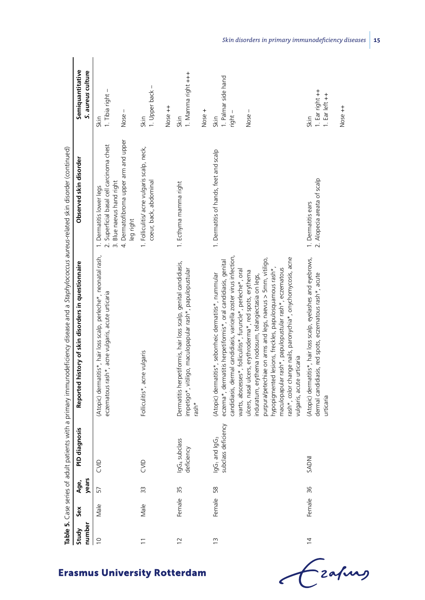|                 |           |               |                                                                    | Table 5. Case series of adult patients with a primary immunodeficiency disease and a Staphylococcus aureus-related skin disorder (continued)                                                                                                                                                                                                                                                                                                                                                                                                                                                                                                                    |                                                                                                                                                          |                                                      |
|-----------------|-----------|---------------|--------------------------------------------------------------------|-----------------------------------------------------------------------------------------------------------------------------------------------------------------------------------------------------------------------------------------------------------------------------------------------------------------------------------------------------------------------------------------------------------------------------------------------------------------------------------------------------------------------------------------------------------------------------------------------------------------------------------------------------------------|----------------------------------------------------------------------------------------------------------------------------------------------------------|------------------------------------------------------|
| number<br>Study | Šex       | years<br>Age, | PID diagnosis                                                      | Reported history of skin disorders in questionnaire                                                                                                                                                                                                                                                                                                                                                                                                                                                                                                                                                                                                             | Observed skin disorder                                                                                                                                   | Semiquantitative<br>S. aureus culture                |
| $\frac{1}{2}$   | Male      | 57            | S                                                                  | (Atopic) dermatitis*, hair loss scalp, perleche*, neonatal rash,<br>eczematous rash*, acne vulgaris, acute urticaria                                                                                                                                                                                                                                                                                                                                                                                                                                                                                                                                            | 4. Dermatofibroma upper arm and upper<br>2. Superficial basal cell carcinoma chest<br>3. Blue naevus hand right<br>1. Dermatitis lower legs<br>leg right | 1. Tibia right -<br>Nose-<br>Skin                    |
|                 | Male      | 33            | SID                                                                | Folliculitis*, acne vulgaris                                                                                                                                                                                                                                                                                                                                                                                                                                                                                                                                                                                                                                    | 1. Folliculitis/ acne vulgaris scalp, neck,<br>coeur, back, abdominal                                                                                    | 1. Upper back -<br>Nose ++<br>Skin                   |
| $\overline{c}$  | Female    | 35            | IgG <sub>4</sub> subclass<br>deficiency                            | Dermatitis herpetiformis, hair loss scalp, genital candidiasis,<br>impetigo*, vitiligo, maculopapular rash*, papulopustular<br>rash*                                                                                                                                                                                                                                                                                                                                                                                                                                                                                                                            | 1. Ecthyma mamma right                                                                                                                                   | 1. Mamma right +++<br>Nose +<br>Skin                 |
| $\frac{1}{2}$   | Female 58 |               | deficiency<br>lgG <sub>3</sub><br>lgG <sub>1</sub> and<br>subclass | candidiasis, dermal candidiasis, varicella zoster virus infection,<br>rash*, color change nails, paronychia*, onychomycosis, acne<br>purpura/petechiae on arms and legs, naevus > 5mm, vitiligo,<br>eczema*, dermatitis herpetiformis*, oral candidiasis, genital<br>maculopapular rash*, papulopustular rash*, eczematous<br>hypopigmented lesions, freckles, papulosquamous rash*,<br>warts, abscesses*, folliculitis*, furuncle*, perleche*, oral<br>ulcers, nasal ulcers, erythroderma*, red spots, erythema<br>(Atopic) dermatitis*, seborrheic dermatitis*, nummular<br>induratum, erythema nodosum, telangiectasia on legs,<br>vulgaris, acute urticaria | 1. Dermatitis of hands, feet and scalp                                                                                                                   | I. Palmar side hand<br>Nose-<br>right -<br>Skin      |
| $\frac{4}{3}$   | Female 36 |               | <b>NOWS</b>                                                        | (Atopic) dermatitis*, hair loss scalp, eyelashes and eyebrows,<br>dermal candidiasis, red spots, eczematous rash*, acute<br>urticaria                                                                                                                                                                                                                                                                                                                                                                                                                                                                                                                           | 2. Alopecia areata of scalp<br>1. Dermatitis ears                                                                                                        | 1. Ear right ++<br>1. Ear left ++<br>Nose ++<br>Skin |

*Skin disorders in primary immunodeficiency diseases* **15**

Czapus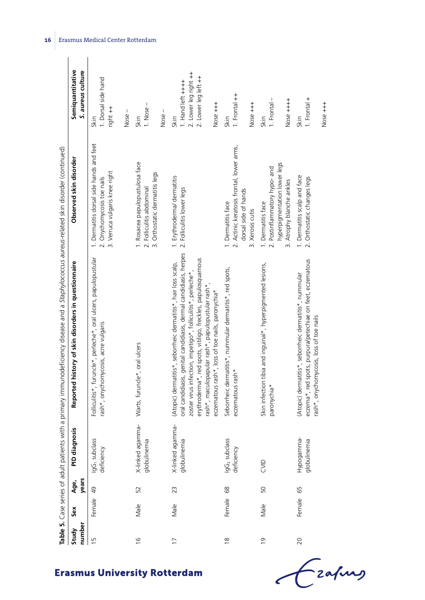|                 |           |               |                                         | cable 5. Case series of adult patients with a primary immunodeficiency disease and a Staphylococcus aureus-related skin disorder (continued)                                                                                                                                                                                                                                |                                                                                                                  |                                                                                        |
|-----------------|-----------|---------------|-----------------------------------------|-----------------------------------------------------------------------------------------------------------------------------------------------------------------------------------------------------------------------------------------------------------------------------------------------------------------------------------------------------------------------------|------------------------------------------------------------------------------------------------------------------|----------------------------------------------------------------------------------------|
| number<br>Study | Sex       | years<br>Age, | PID diagnosis                           | Reported history of skin disorders in questionnaire                                                                                                                                                                                                                                                                                                                         | Observed skin disorder                                                                                           | Semiquantitative<br>S. aureus culture                                                  |
| $\overline{1}$  | Female 49 |               | IgG <sub>1</sub> subclass<br>deficiency | Folliculitis*, furuncle*, perleche*, oral ulcers, papulopustular<br>rash*, onychomycosis, acne vulgaris                                                                                                                                                                                                                                                                     | 1. Dermatitis dorsal side hands and feet<br>3. Verruca vulgaris knee right<br>2. Onychomycosis toe nails         | 1. Dorsal side hand<br>right ++<br>Skin                                                |
|                 |           |               |                                         |                                                                                                                                                                                                                                                                                                                                                                             |                                                                                                                  | Nose-                                                                                  |
| $\frac{6}{1}$   | Male      | 52            | X-linked agamma-<br>globulinemia        | Warts, furuncle*, oral ulcers                                                                                                                                                                                                                                                                                                                                               | 1. Rosacea papulopustulosa face<br>3. Orthostatic dermatitis legs<br>2. Folliculitis abdominal                   | $\overline{\phantom{a}}$<br>1. Nose<br>Nose-<br>Skin                                   |
| $\overline{17}$ | Male      | 23            | X-linked agamma-<br>globulinemia        | oral candidiasis, genital candidiasis, dermal candidiasis, herpes<br>erythroderma*, red spots, vitiligo, freckles, papulosquamous<br>(Atopic) dermatitis*, seborrheic dermatitis*, hair loss scalp,<br>zoster virus infection, impetigo*, folliculitis*, perleche*<br>rash*, maculopapular rash*, papulopustular rash*,<br>eczematous rash*, loss of toe nails, paronychia* | 1. Erythroderma/dermatitis<br>2. Folliculitis lower legs                                                         | 2. Lower leg right ++<br>2. Lower leg left ++<br>I. Hand left ++++<br>Nose +++<br>Skin |
| $\frac{8}{1}$   | Female 68 |               | IgG <sub>2</sub> subclass<br>deficiency | Seborrheic dermatitis*, nummular dermatitis*, red spots,<br>eczematous rash*                                                                                                                                                                                                                                                                                                | 2. Actinic keratosis frontal, lower arms,<br>dorsal side of hands<br>1. Dermatitis face<br>3. Xerosis cutis      | 1. Frontal ++<br>$Nose + + +$<br>Skin                                                  |
| $\frac{1}{2}$   | Male      | 50            | CVID                                    | Skin infection tibia and inguinal*, hyperpigmented lesions,<br>paronychia*                                                                                                                                                                                                                                                                                                  | hyperpigmentation lower legs<br>2. Postinflammatory hypo- and<br>3. Atrophy blanche ankles<br>1. Dermatitis face | 1. Frontal -<br>$N$ ose $++++$<br>Skin                                                 |
| 20              | Female 65 |               | Hypogamma-<br>globulinemia              | eczema*, red spots, purpura/petechiae on feet, eczematous<br>(Atopic) dermatitis*, seborrheic dermatitis*, nummular<br>rash*, onychomycosis, loss of toe nails                                                                                                                                                                                                              | 1. Dermatitis scalp and face<br>2. Orthostatic changes legs                                                      | $1.$ Frontal $+$<br>$Nose + + +$<br>Skin                                               |

Czafing

**Erasmus University Rotterdam** 

**16** Erasmus Medical Center Rotterdam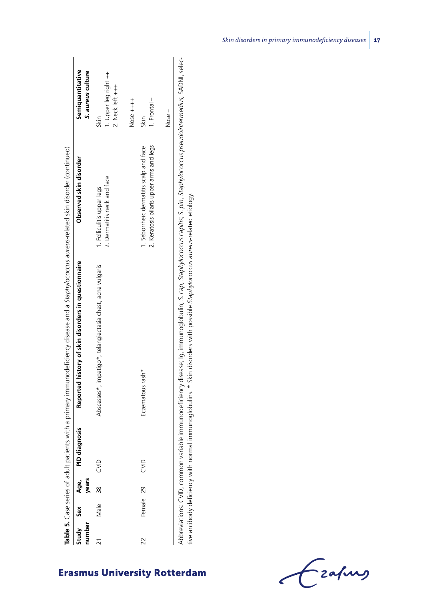| umber | Study Sex Age, | vears | PID diagnosis | Reported history of skin disorders in questionnaire        | Observed skin disorder                                                              | Semiquantitative<br>S. aureus culture             |
|-------|----------------|-------|---------------|------------------------------------------------------------|-------------------------------------------------------------------------------------|---------------------------------------------------|
|       | Male 38        |       | W             | Abscesses*, impetigo*, telangiectasia chest, acne vulgaris | 2. Dermatitis neck and face<br>1. Folliculitis upper legs                           | I. Upper leg right ++<br>2. Neck left +++<br>Skin |
|       | Female 29      |       | SND           | Eczematous rash*                                           | 2. Keratosis pilaris upper arms and legs<br>I. Seborrheic dermatitis scalp and face | $1.$ Frontal $-$<br>Nose +++<br>Skin              |
|       |                |       |               |                                                            |                                                                                     | Nose –                                            |

| ¢                                                                                                              |                                                                    |
|----------------------------------------------------------------------------------------------------------------|--------------------------------------------------------------------|
|                                                                                                                |                                                                    |
| l                                                                                                              |                                                                    |
|                                                                                                                |                                                                    |
|                                                                                                                |                                                                    |
| ֦<br>$\mathbf{I}$                                                                                              |                                                                    |
|                                                                                                                |                                                                    |
| I<br>ĭ<br>ׇ֚֘֡                                                                                                 |                                                                    |
| ì<br>j                                                                                                         |                                                                    |
| ;<br>;<br>;                                                                                                    |                                                                    |
| í                                                                                                              |                                                                    |
| ţ<br>Ï                                                                                                         | ì<br>5<br>ł                                                        |
| ישלאו∔וכי רוס                                                                                                  | )<br>d                                                             |
| $\mathbf{r}$<br>i                                                                                              |                                                                    |
| :                                                                                                              | )                                                                  |
| i<br>S                                                                                                         | j                                                                  |
| i<br>j<br>ť<br>ì<br>l                                                                                          | ֡֡֡֡֡֡֡֡֡                                                          |
| į<br>ï                                                                                                         | i<br>֧֧֧֢ׅ֧ׅ֧ׅ֧֧֢ׅ֧֚֚֚֚֚֚֚֚֚֚֚֚֚֚֚֚֚֚֚֚֚֚֚֚֚֚֚֚֚֚֚֚֝֝֓֜֓֡֓֜֓֞֝֓֓֡֟ |
| $\frac{1}{2}$                                                                                                  |                                                                    |
|                                                                                                                | ś<br>i                                                             |
| ١                                                                                                              | 5<br>I<br>١                                                        |
|                                                                                                                | i                                                                  |
|                                                                                                                |                                                                    |
|                                                                                                                | j                                                                  |
| .<br>See See<br>$\overline{ }$<br>j                                                                            | <br> <br>                                                          |
| i<br>j                                                                                                         |                                                                    |
| Ï                                                                                                              | Š                                                                  |
|                                                                                                                |                                                                    |
| <br>֖֖֖֖֖֖֖֖֖֖֧֪֪֪ׅ֖֚֚֚֚֚֚֚֚֚֚֚֚֚֚֚֚֚֚֚֚֚֚֚֚֬֝֓֞֡֡֓֞֡֞֡֬֓֞֡֞֬֞֓֞֡֬֓֞֬֞֞֞֞                                      | j                                                                  |
| l                                                                                                              |                                                                    |
| .                                                                                                              |                                                                    |
|                                                                                                                | $\sim$                                                             |
| <b>Andelle</b>                                                                                                 | FM<br>J                                                            |
| l                                                                                                              |                                                                    |
| ֖֖֖֖֖֖֖֧ׅ֖ׅ֖ׅ֖֧֚֚֚֚֚֚֚֚֚֚֚֚֚֚֚֚֚֚֚֚֚֚֚֚֚֚֬֝֝֬֝֓֞֬֝֓֬֝֓֬֝֓֬<br>֖֖֖֢ׅ֖֖֖֖֧ׅ֖֧֖֧֚֚֚֚֚֚֚֚֚֚֚֚֚֚֚֚֚֚֚֚֚֚֚֚֚֬֝֝֓֞֝֓֬ |                                                                    |
| l                                                                                                              |                                                                    |
| $\overline{\phantom{a}}$                                                                                       | ֕                                                                  |
| l                                                                                                              |                                                                    |
|                                                                                                                |                                                                    |
|                                                                                                                |                                                                    |
|                                                                                                                |                                                                    |

- zafung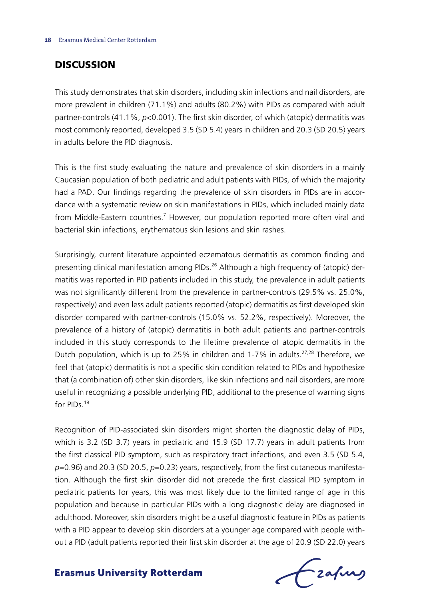## **DISCUSSION**

This study demonstrates that skin disorders, including skin infections and nail disorders, are more prevalent in children (71.1%) and adults (80.2%) with PIDs as compared with adult partner-controls (41.1%, *p*<0.001). The first skin disorder, of which (atopic) dermatitis was most commonly reported, developed 3.5 (SD 5.4) years in children and 20.3 (SD 20.5) years in adults before the PID diagnosis.

This is the first study evaluating the nature and prevalence of skin disorders in a mainly Caucasian population of both pediatric and adult patients with PIDs, of which the majority had a PAD. Our findings regarding the prevalence of skin disorders in PIDs are in accordance with a systematic review on skin manifestations in PIDs, which included mainly data from Middle-Eastern countries.<sup>7</sup> However, our population reported more often viral and bacterial skin infections, erythematous skin lesions and skin rashes.

Surprisingly, current literature appointed eczematous dermatitis as common finding and presenting clinical manifestation among PIDs.<sup>26</sup> Although a high frequency of (atopic) dermatitis was reported in PID patients included in this study, the prevalence in adult patients was not significantly different from the prevalence in partner-controls (29.5% vs. 25.0%, respectively) and even less adult patients reported (atopic) dermatitis as first developed skin disorder compared with partner-controls (15.0% vs. 52.2%, respectively). Moreover, the prevalence of a history of (atopic) dermatitis in both adult patients and partner-controls included in this study corresponds to the lifetime prevalence of atopic dermatitis in the Dutch population, which is up to 25% in children and 1-7% in adults.<sup>27,28</sup> Therefore, we feel that (atopic) dermatitis is not a specific skin condition related to PIDs and hypothesize that (a combination of) other skin disorders, like skin infections and nail disorders, are more useful in recognizing a possible underlying PID, additional to the presence of warning signs for PIDs<sup>19</sup>

Recognition of PID-associated skin disorders might shorten the diagnostic delay of PIDs, which is 3.2 (SD 3.7) years in pediatric and 15.9 (SD 17.7) years in adult patients from the first classical PID symptom, such as respiratory tract infections, and even 3.5 (SD 5.4, *p*=0.96) and 20.3 (SD 20.5, *p*=0.23) years, respectively, from the first cutaneous manifestation. Although the first skin disorder did not precede the first classical PID symptom in pediatric patients for years, this was most likely due to the limited range of age in this population and because in particular PIDs with a long diagnostic delay are diagnosed in adulthood. Moreover, skin disorders might be a useful diagnostic feature in PIDs as patients with a PID appear to develop skin disorders at a younger age compared with people without a PID (adult patients reported their first skin disorder at the age of 20.9 (SD 22.0) years

frafing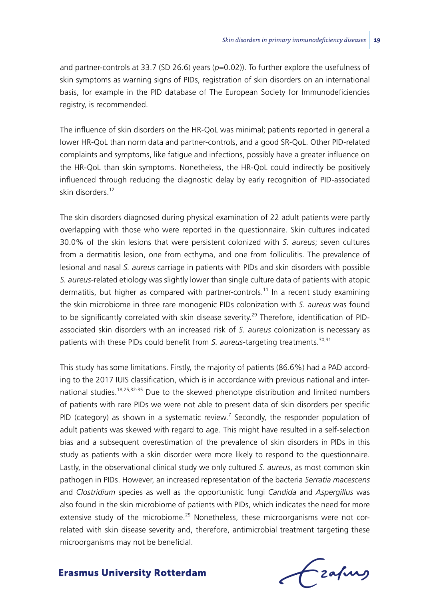and partner-controls at 33.7 (SD 26.6) years (*p*=0.02)). To further explore the usefulness of skin symptoms as warning signs of PIDs, registration of skin disorders on an international basis, for example in the PID database of The European Society for Immunodeficiencies registry, is recommended.

The influence of skin disorders on the HR-QoL was minimal; patients reported in general a lower HR-QoL than norm data and partner-controls, and a good SR-QoL. Other PID-related complaints and symptoms, like fatigue and infections, possibly have a greater influence on the HR-QoL than skin symptoms. Nonetheless, the HR-QoL could indirectly be positively influenced through reducing the diagnostic delay by early recognition of PID-associated skin disorders<sup>12</sup>

The skin disorders diagnosed during physical examination of 22 adult patients were partly overlapping with those who were reported in the questionnaire. Skin cultures indicated 30.0% of the skin lesions that were persistent colonized with *S. aureus*; seven cultures from a dermatitis lesion, one from ecthyma, and one from folliculitis. The prevalence of lesional and nasal *S. aureus* carriage in patients with PIDs and skin disorders with possible *S. aureus*-related etiology was slightly lower than single culture data of patients with atopic dermatitis, but higher as compared with partner-controls.<sup>11</sup> In a recent study examining the skin microbiome in three rare monogenic PIDs colonization with *S. aureus* was found to be significantly correlated with skin disease severity.<sup>29</sup> Therefore, identification of PIDassociated skin disorders with an increased risk of *S. aureus* colonization is necessary as patients with these PIDs could benefit from *S. aureus*-targeting treatments.<sup>30,31</sup>

This study has some limitations. Firstly, the majority of patients (86.6%) had a PAD according to the 2017 IUIS classification, which is in accordance with previous national and international studies.<sup>18,25,32-35</sup> Due to the skewed phenotype distribution and limited numbers of patients with rare PIDs we were not able to present data of skin disorders per specific PID (category) as shown in a systematic review.<sup>7</sup> Secondly, the responder population of adult patients was skewed with regard to age. This might have resulted in a self-selection bias and a subsequent overestimation of the prevalence of skin disorders in PIDs in this study as patients with a skin disorder were more likely to respond to the questionnaire. Lastly, in the observational clinical study we only cultured *S. aureus*, as most common skin pathogen in PIDs. However, an increased representation of the bacteria *Serratia macescens*  and *Clostridium* species as well as the opportunistic fungi *Candida* and *Aspergillus* was also found in the skin microbiome of patients with PIDs, which indicates the need for more extensive study of the microbiome.<sup>29</sup> Nonetheless, these microorganisms were not correlated with skin disease severity and, therefore, antimicrobial treatment targeting these microorganisms may not be beneficial.

frafing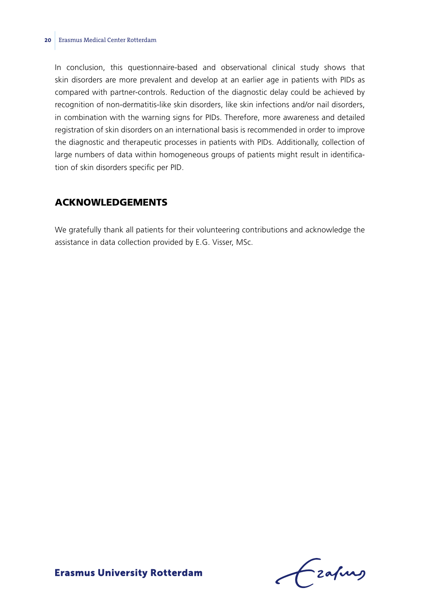#### **20** Erasmus Medical Center Rotterdam

In conclusion, this questionnaire-based and observational clinical study shows that skin disorders are more prevalent and develop at an earlier age in patients with PIDs as compared with partner-controls. Reduction of the diagnostic delay could be achieved by recognition of non-dermatitis-like skin disorders, like skin infections and/or nail disorders, in combination with the warning signs for PIDs. Therefore, more awareness and detailed registration of skin disorders on an international basis is recommended in order to improve the diagnostic and therapeutic processes in patients with PIDs. Additionally, collection of large numbers of data within homogeneous groups of patients might result in identification of skin disorders specific per PID.

# Acknowledgements

We gratefully thank all patients for their volunteering contributions and acknowledge the assistance in data collection provided by E.G. Visser, MSc.

frafing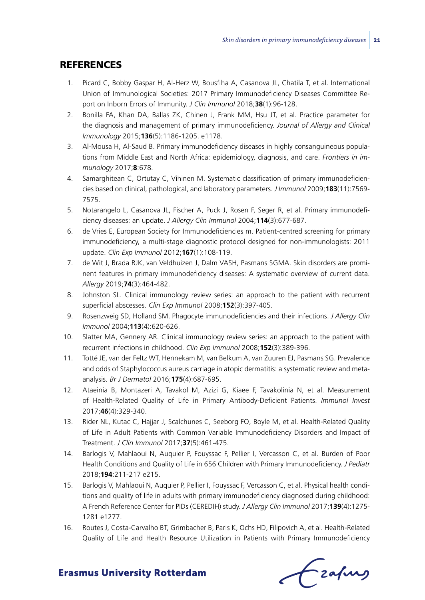# **REFERENCES**

- 1. Picard C, Bobby Gaspar H, Al-Herz W, Bousfiha A, Casanova JL, Chatila T, et al. International Union of Immunological Societies: 2017 Primary Immunodeficiency Diseases Committee Report on Inborn Errors of Immunity. *J Clin Immunol* 2018;**38**(1):96-128.
- 2. Bonilla FA, Khan DA, Ballas ZK, Chinen J, Frank MM, Hsu JT, et al. Practice parameter for the diagnosis and management of primary immunodeficiency. *Journal of Allergy and Clinical Immunology* 2015;**136**(5):1186-1205. e1178.
- 3. Al-Mousa H, Al-Saud B. Primary immunodeficiency diseases in highly consanguineous populations from Middle East and North Africa: epidemiology, diagnosis, and care. *Frontiers in immunology* 2017;**8**:678.
- 4. Samarghitean C, Ortutay C, Vihinen M. Systematic classification of primary immunodeficiencies based on clinical, pathological, and laboratory parameters. *J Immunol* 2009;**183**(11):7569- 7575.
- 5. Notarangelo L, Casanova JL, Fischer A, Puck J, Rosen F, Seger R, et al. Primary immunodeficiency diseases: an update. *J Allergy Clin Immunol* 2004;**114**(3):677-687.
- 6. de Vries E, European Society for Immunodeficiencies m. Patient-centred screening for primary immunodeficiency, a multi-stage diagnostic protocol designed for non-immunologists: 2011 update. *Clin Exp Immunol* 2012;**167**(1):108-119.
- 7. de Wit J, Brada RJK, van Veldhuizen J, Dalm VASH, Pasmans SGMA. Skin disorders are prominent features in primary immunodeficiency diseases: A systematic overview of current data. *Allergy* 2019;**74**(3):464-482.
- 8. Johnston SL. Clinical immunology review series: an approach to the patient with recurrent superficial abscesses. *Clin Exp Immunol* 2008;**152**(3):397-405.
- 9. Rosenzweig SD, Holland SM. Phagocyte immunodeficiencies and their infections. *J Allergy Clin Immunol* 2004;**113**(4):620-626.
- 10. Slatter MA, Gennery AR. Clinical immunology review series: an approach to the patient with recurrent infections in childhood. *Clin Exp Immunol* 2008;**152**(3):389-396.
- 11. Totté JE, van der Feltz WT, Hennekam M, van Belkum A, van Zuuren EJ, Pasmans SG. Prevalence and odds of Staphylococcus aureus carriage in atopic dermatitis: a systematic review and metaanalysis. *Br J Dermatol* 2016;**175**(4):687-695.
- 12. Ataeinia B, Montazeri A, Tavakol M, Azizi G, Kiaee F, Tavakolinia N, et al. Measurement of Health-Related Quality of Life in Primary Antibody-Deficient Patients. *Immunol Invest* 2017;**46**(4):329-340.
- 13. Rider NL, Kutac C, Hajjar J, Scalchunes C, Seeborg FO, Boyle M, et al. Health-Related Quality of Life in Adult Patients with Common Variable Immunodeficiency Disorders and Impact of Treatment. *J Clin Immunol* 2017;**37**(5):461-475.
- 14. Barlogis V, Mahlaoui N, Auquier P, Fouyssac F, Pellier I, Vercasson C, et al. Burden of Poor Health Conditions and Quality of Life in 656 Children with Primary Immunodeficiency. *J Pediatr* 2018;**194**:211-217 e215.
- 15. Barlogis V, Mahlaoui N, Auquier P, Pellier I, Fouyssac F, Vercasson C, et al. Physical health conditions and quality of life in adults with primary immunodeficiency diagnosed during childhood: A French Reference Center for PIDs (CEREDIH) study. *J Allergy Clin Immunol* 2017;**139**(4):1275- 1281 e1277.
- 16. Routes J, Costa-Carvalho BT, Grimbacher B, Paris K, Ochs HD, Filipovich A, et al. Health-Related Quality of Life and Health Resource Utilization in Patients with Primary Immunodeficiency

Czafurz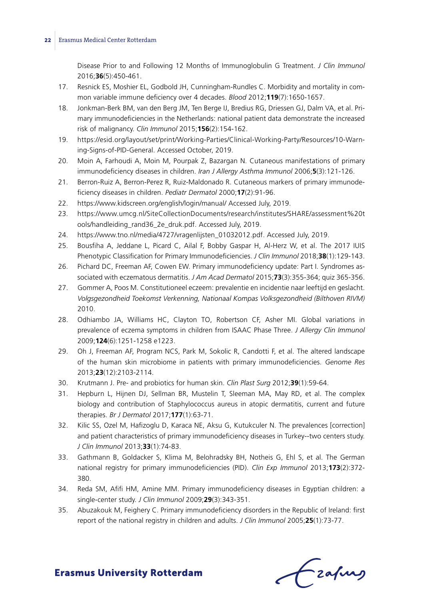#### **22** Erasmus Medical Center Rotterdam

Disease Prior to and Following 12 Months of Immunoglobulin G Treatment. *J Clin Immunol* 2016;**36**(5):450-461.

- 17. Resnick ES, Moshier EL, Godbold JH, Cunningham-Rundles C. Morbidity and mortality in common variable immune deficiency over 4 decades. *Blood* 2012;**119**(7):1650-1657.
- 18. Jonkman-Berk BM, van den Berg JM, Ten Berge IJ, Bredius RG, Driessen GJ, Dalm VA, et al. Primary immunodeficiencies in the Netherlands: national patient data demonstrate the increased risk of malignancy. *Clin Immunol* 2015;**156**(2):154-162.
- 19. https://esid.org/layout/set/print/Working-Parties/Clinical-Working-Party/Resources/10-Warning-Signs-of-PID-General. Accessed October, 2019.
- 20. Moin A, Farhoudi A, Moin M, Pourpak Z, Bazargan N. Cutaneous manifestations of primary immunodeficiency diseases in children. *Iran J Allergy Asthma Immunol* 2006;**5**(3):121-126.
- 21. Berron-Ruiz A, Berron-Perez R, Ruiz-Maldonado R. Cutaneous markers of primary immunodeficiency diseases in children. *Pediatr Dermatol* 2000;**17**(2):91-96.
- 22. https://www.kidscreen.org/english/login/manual/ Accessed July, 2019.
- 23. https://www.umcg.nl/SiteCollectionDocuments/research/institutes/SHARE/assessment%20t ools/handleiding\_rand36\_2e\_druk.pdf. Accessed July, 2019.
- 24. https://www.tno.nl/media/4727/vragenlijsten\_01032012.pdf. Accessed July, 2019.
- 25. Bousfiha A, Jeddane L, Picard C, Ailal F, Bobby Gaspar H, Al-Herz W, et al. The 2017 IUIS Phenotypic Classification for Primary Immunodeficiencies. *J Clin Immunol* 2018;**38**(1):129-143.
- 26. Pichard DC, Freeman AF, Cowen EW. Primary immunodeficiency update: Part I. Syndromes associated with eczematous dermatitis. *J Am Acad Dermatol* 2015;**73**(3):355-364; quiz 365-356.
- 27. Gommer A, Poos M. Constitutioneel eczeem: prevalentie en incidentie naar leeftijd en geslacht. *Volgsgezondheid Toekomst Verkenning, Nationaal Kompas Volksgezondheid (Bilthoven RIVM)* 2010.
- 28. Odhiambo JA, Williams HC, Clayton TO, Robertson CF, Asher MI. Global variations in prevalence of eczema symptoms in children from ISAAC Phase Three. *J Allergy Clin Immunol* 2009;**124**(6):1251-1258 e1223.
- 29. Oh J, Freeman AF, Program NCS, Park M, Sokolic R, Candotti F, et al. The altered landscape of the human skin microbiome in patients with primary immunodeficiencies. *Genome Res* 2013;**23**(12):2103-2114.
- 30. Krutmann J. Pre- and probiotics for human skin. *Clin Plast Surg* 2012;**39**(1):59-64.
- 31. Hepburn L, Hijnen DJ, Sellman BR, Mustelin T, Sleeman MA, May RD, et al. The complex biology and contribution of Staphylococcus aureus in atopic dermatitis, current and future therapies. *Br J Dermatol* 2017;**177**(1):63-71.
- 32. Kilic SS, Ozel M, Hafizoglu D, Karaca NE, Aksu G, Kutukculer N. The prevalences [correction] and patient characteristics of primary immunodeficiency diseases in Turkey--two centers study. *J Clin Immunol* 2013;**33**(1):74-83.
- 33. Gathmann B, Goldacker S, Klima M, Belohradsky BH, Notheis G, Ehl S, et al. The German national registry for primary immunodeficiencies (PID). *Clin Exp Immunol* 2013;**173**(2):372- 380.
- 34. Reda SM, Afifi HM, Amine MM. Primary immunodeficiency diseases in Egyptian children: a single-center study. *J Clin Immunol* 2009;**29**(3):343-351.
- 35. Abuzakouk M, Feighery C. Primary immunodeficiency disorders in the Republic of Ireland: first report of the national registry in children and adults. *J Clin Immunol* 2005;**25**(1):73-77.

Frahing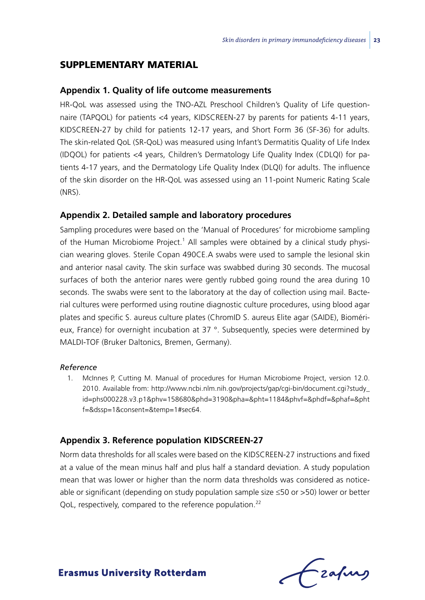## Supplementary material

#### **Appendix 1. Quality of life outcome measurements**

HR-QoL was assessed using the TNO-AZL Preschool Children's Quality of Life questionnaire (TAPQOL) for patients <4 years, KIDSCREEN-27 by parents for patients 4-11 years, KIDSCREEN-27 by child for patients 12-17 years, and Short Form 36 (SF-36) for adults. The skin-related QoL (SR-QoL) was measured using Infant's Dermatitis Quality of Life Index (IDQOL) for patients <4 years, Children's Dermatology Life Quality Index (CDLQI) for patients 4-17 years, and the Dermatology Life Quality Index (DLQI) for adults. The influence of the skin disorder on the HR-QoL was assessed using an 11-point Numeric Rating Scale (NRS).

#### **Appendix 2. Detailed sample and laboratory procedures**

Sampling procedures were based on the 'Manual of Procedures' for microbiome sampling of the Human Microbiome Project.<sup>1</sup> All samples were obtained by a clinical study physician wearing gloves. Sterile Copan 490CE.A swabs were used to sample the lesional skin and anterior nasal cavity. The skin surface was swabbed during 30 seconds. The mucosal surfaces of both the anterior nares were gently rubbed going round the area during 10 seconds. The swabs were sent to the laboratory at the day of collection using mail. Bacterial cultures were performed using routine diagnostic culture procedures, using blood agar plates and specific S. aureus culture plates (ChromID S. aureus Elite agar (SAIDE), Biomérieux, France) for overnight incubation at 37 °. Subsequently, species were determined by MALDI-TOF (Bruker Daltonics, Bremen, Germany).

## *Reference*

1. McInnes P, Cutting M. Manual of procedures for Human Microbiome Project, version 12.0. 2010. Available from: http://www.ncbi.nlm.nih.gov/projects/gap/cgi-bin/document.cgi?study\_ id=phs000228.v3.p1&phv=158680&phd=3190&pha=&pht=1184&phvf=&phdf=&phaf=&pht f=&dssp=1&consent=&temp=1#sec64.

#### **Appendix 3. Reference population KIDSCREEN-27**

Norm data thresholds for all scales were based on the KIDSCREEN-27 instructions and fixed at a value of the mean minus half and plus half a standard deviation. A study population mean that was lower or higher than the norm data thresholds was considered as noticeable or significant (depending on study population sample size ≤50 or >50) lower or better QoL, respectively, compared to the reference population.<sup>22</sup>

-zafurs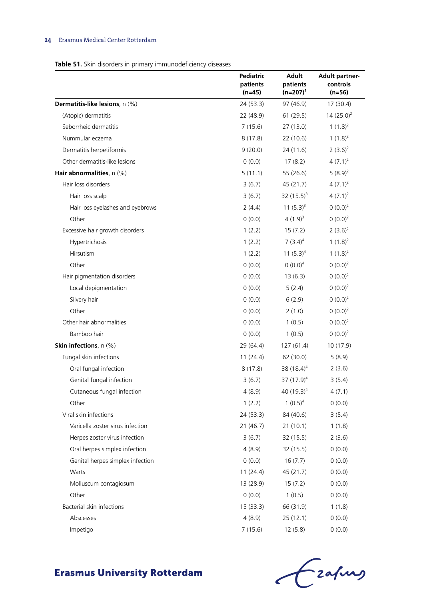# **24** Erasmus Medical Center Rotterdam

#### **Table S1.** Skin disorders in primary immunodeficiency diseases

|                                        | Pediatric<br>patients<br>(n=45) | Adult<br>patients<br>$(n=207)^{1}$ | Adult partner-<br>controls<br>(n=56) |
|----------------------------------------|---------------------------------|------------------------------------|--------------------------------------|
| <b>Dermatitis-like lesions</b> , n (%) | 24 (53.3)                       | 97 (46.9)                          | 17 (30.4)                            |
| (Atopic) dermatitis                    | 22 (48.9)                       | 61 (29.5)                          | $14(25.0)^2$                         |
| Seborrheic dermatitis                  | 7(15.6)                         | 27(13.0)                           | 1 $(1.8)^2$                          |
| Nummular eczema                        | 8(17.8)                         | 22 (10.6)                          | 1 $(1.8)^2$                          |
| Dermatitis herpetiformis               | 9(20.0)                         | 24 (11.6)                          | $2(3.6)^2$                           |
| Other dermatitis-like lesions          | 0(0.0)                          | 17(8.2)                            | $4(7.1)^2$                           |
| Hair abnormalities, $n$ (%)            | 5(11.1)                         | 55 (26.6)                          | $5(8.9)^2$                           |
| Hair loss disorders                    | 3(6.7)                          | 45 (21.7)                          | $4(7.1)^2$                           |
| Hair loss scalp                        | 3(6.7)                          | 32 $(15.5)^{3}$                    | $4(7.1)^2$                           |
| Hair loss eyelashes and eyebrows       | 2(4.4)                          | 11 $(5.3)^3$                       | $0(0.0)^2$                           |
| Other                                  | (0.0)                           | $4(1.9)^{3}$                       | $0(0.0)^2$                           |
| Excessive hair growth disorders        | 1(2.2)                          | 15(7.2)                            | $2(3.6)^2$                           |
| Hypertrichosis                         | 1(2.2)                          | $7(3.4)^4$                         | 1 $(1.8)^2$                          |
| Hirsutism                              | 1(2.2)                          | 11 $(5.3)^4$                       | 1 $(1.8)^2$                          |
| Other                                  | 0(0.0)                          | $0 (0.0)^4$                        | $(0.0)^2$                            |
| Hair pigmentation disorders            | 0(0.0)                          | 13(6.3)                            | $(0.0)^2$                            |
| Local depigmentation                   | (0.0)                           | 5(2.4)                             | $0(0.0)^2$                           |
| Silvery hair                           | 0(0.0)                          | 6(2.9)                             | $(0.0)^2$                            |
| Other                                  | 0(0.0)                          | 2(1.0)                             | $0(0.0)^2$                           |
| Other hair abnormalities               | 0(0.0)                          | 1(0.5)                             | $(0.0)^2$                            |
| Bamboo hair                            | 0(0.0)                          | 1(0.5)                             | $(0.0)^2$                            |
| Skin infections, n (%)                 | 29 (64.4)                       | 127(61.4)                          | 10 (17.9)                            |
| Fungal skin infections                 | 11(24.4)                        | 62 (30.0)                          | 5(8.9)                               |
| Oral fungal infection                  | 8(17.8)                         | 38 $(18.4)^4$                      | 2(3.6)                               |
| Genital fungal infection               | 3(6.7)                          | 37 $(17.9)^4$                      | 3(5.4)                               |
| Cutaneous fungal infection             | 4(8.9)                          | 40 $(19.3)^4$                      | 4(7.1)                               |
| Other                                  | 1(2.2)                          | $1(0.5)^4$                         | 0(0.0)                               |
| Viral skin infections                  | 24 (53.3)                       | 84 (40.6)                          | 3(5.4)                               |
| Varicella zoster virus infection       | 21 (46.7)                       | 21(10.1)                           | 1(1.8)                               |
| Herpes zoster virus infection          | 3(6.7)                          | 32 (15.5)                          | 2(3.6)                               |
| Oral herpes simplex infection          | 4(8.9)                          | 32 (15.5)                          | 0(0.0)                               |
| Genital herpes simplex infection       | 0(0.0)                          | 16(7.7)                            | 0(0.0)                               |
| Warts                                  | 11(24.4)                        | 45 (21.7)                          | 0(0.0)                               |
| Molluscum contagiosum                  | 13 (28.9)                       | 15(7.2)                            | 0(0.0)                               |
| Other                                  | 0(0.0)                          | 1(0.5)                             | 0(0.0)                               |
| Bacterial skin infections              | 15 (33.3)                       | 66 (31.9)                          | 1(1.8)                               |
| Abscesses                              | 4(8.9)                          | 25 (12.1)                          | 0(0.0)                               |
| Impetigo                               | 7(15.6)                         | 12(5.8)                            | 0(0.0)                               |

Czahny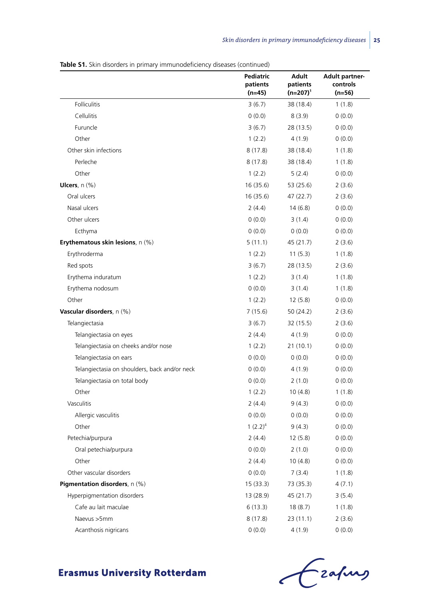| <b>Table S1.</b> Skin disorders in primary immunodeficiency diseases (continued) |  |  |  |
|----------------------------------------------------------------------------------|--|--|--|
|----------------------------------------------------------------------------------|--|--|--|

|                                               | Pediatric<br>patients<br>(n=45) | <b>Adult</b><br>patients<br>$(n=207)^1$ | <b>Adult partner-</b><br>controls<br>(n=56) |
|-----------------------------------------------|---------------------------------|-----------------------------------------|---------------------------------------------|
| Folliculitis                                  | 3(6.7)                          | 38 (18.4)                               | 1(1.8)                                      |
| Cellulitis                                    | 0(0.0)                          | 8(3.9)                                  | 0(0.0)                                      |
| Furuncle                                      | 3(6.7)                          | 28 (13.5)                               | 0(0.0)                                      |
| Other                                         | 1(2.2)                          | 4(1.9)                                  | 0(0.0)                                      |
| Other skin infections                         | 8(17.8)                         | 38 (18.4)                               | 1(1.8)                                      |
| Perleche                                      | 8(17.8)                         | 38 (18.4)                               | 1(1.8)                                      |
| Other                                         | 1(2.2)                          | 5(2.4)                                  | 0(0.0)                                      |
| Ulcers, n (%)                                 | 16(35.6)                        | 53 (25.6)                               | 2(3.6)                                      |
| Oral ulcers                                   | 16 (35.6)                       | 47 (22.7)                               | 2(3.6)                                      |
| Nasal ulcers                                  | 2(4.4)                          | 14(6.8)                                 | 0(0.0)                                      |
| Other ulcers                                  | 0(0.0)                          | 3(1.4)                                  | 0(0.0)                                      |
| Ecthyma                                       | (0.0)                           | 0(0.0)                                  | 0(0.0)                                      |
| Erythematous skin lesions, n (%)              | 5(11.1)                         | 45 (21.7)                               | 2(3.6)                                      |
| Erythroderma                                  | 1(2.2)                          | 11(5.3)                                 | 1(1.8)                                      |
| Red spots                                     | 3(6.7)                          | 28 (13.5)                               | 2(3.6)                                      |
| Erythema induratum                            | 1(2.2)                          | 3(1.4)                                  | 1(1.8)                                      |
| Erythema nodosum                              | 0(0.0)                          | 3(1.4)                                  | 1(1.8)                                      |
| Other                                         | 1(2.2)                          | 12(5.8)                                 | 0(0.0)                                      |
| Vascular disorders, n (%)                     | 7 (15.6)                        | 50 (24.2)                               | 2(3.6)                                      |
| Telangiectasia                                | 3(6.7)                          | 32 (15.5)                               | 2(3.6)                                      |
| Telangiectasia on eyes                        | 2(4.4)                          | 4(1.9)                                  | 0(0.0)                                      |
| Telangiectasia on cheeks and/or nose          | 1(2.2)                          | 21 (10.1)                               | 0(0.0)                                      |
| Telangiectasia on ears                        | 0(0.0)                          | 0(0.0)                                  | 0(0.0)                                      |
| Telangiectasia on shoulders, back and/or neck | 0(0.0)                          | 4 (1.9)                                 | 0(0.0)                                      |
| Telangiectasia on total body                  | 0(0.0)                          | 2(1.0)                                  | 0(0.0)                                      |
| Other                                         | 1(2.2)                          | 10 (4.8)                                | 1(1.8)                                      |
| Vasculitis                                    | 2(4.4)                          | 9(4.3)                                  | 0(0.0)                                      |
| Allergic vasculitis                           | 0(0.0)                          | (0.0)                                   | 0(0.0)                                      |
| Other                                         | 1 $(2.2)^4$                     | 9(4.3)                                  | 0(0.0)                                      |
| Petechia/purpura                              | 2(4.4)                          | 12(5.8)                                 | 0(0.0)                                      |
| Oral petechia/purpura                         | 0(0.0)                          | 2(1.0)                                  | 0(0.0)                                      |
| Other                                         | 2(4.4)                          | 10(4.8)                                 | 0(0.0)                                      |
| Other vascular disorders                      | 0(0.0)                          | 7(3.4)                                  | 1(1.8)                                      |
| Pigmentation disorders, n (%)                 | 15(33.3)                        | 73 (35.3)                               | 4(7.1)                                      |
| Hyperpigmentation disorders                   | 13 (28.9)                       | 45 (21.7)                               | 3(5.4)                                      |
| Cafe au lait maculae                          | 6(13.3)                         | 18 (8.7)                                | 1(1.8)                                      |
| Naevus >5mm                                   | 8(17.8)                         | 23(11.1)                                | 2(3.6)                                      |
| Acanthosis nigricans                          | 0(0.0)                          | 4(1.9)                                  | 0(0.0)                                      |



Czapus  $\overline{\epsilon}$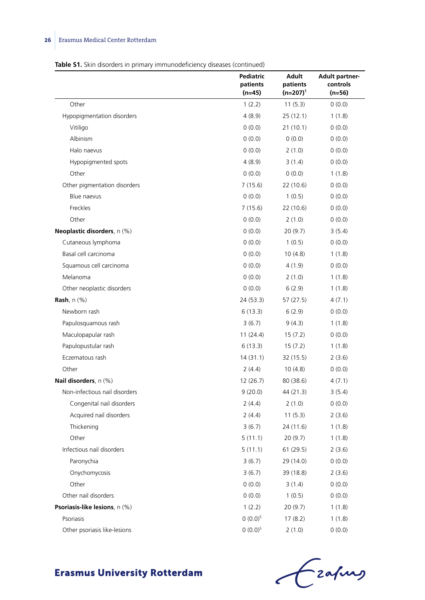# **26** Erasmus Medical Center Rotterdam

#### **Table S1.** Skin disorders in primary immunodeficiency diseases (continued)

|                               | Pediatric<br>patients<br>(n=45) | Adult<br>patients<br>$(n=207)^{1}$ | <b>Adult partner-</b><br>controls<br>(n=56) |
|-------------------------------|---------------------------------|------------------------------------|---------------------------------------------|
| Other                         | 1(2.2)                          | 11(5.3)                            | 0(0.0)                                      |
| Hypopigmentation disorders    | 4(8.9)                          | 25(12.1)                           | 1(1.8)                                      |
| Vitiligo                      | 0(0.0)                          | 21(10.1)                           | 0(0.0)                                      |
| Albinism                      | 0(0.0)                          | 0(0.0)                             | 0(0.0)                                      |
| Halo naevus                   | (0.0)                           | 2(1.0)                             | 0(0.0)                                      |
| Hypopigmented spots           | 4(8.9)                          | 3(1.4)                             | 0(0.0)                                      |
| Other                         | 0(0.0)                          | 0(0.0)                             | 1(1.8)                                      |
| Other pigmentation disorders  | 7(15.6)                         | 22 (10.6)                          | 0(0.0)                                      |
| Blue naevus                   | 0(0.0)                          | 1(0.5)                             | 0(0.0)                                      |
| Freckles                      | 7(15.6)                         | 22 (10.6)                          | 0(0.0)                                      |
| Other                         | (0.0)                           | 2(1.0)                             | 0(0.0)                                      |
| Neoplastic disorders, n (%)   | 0(0.0)                          | 20(9.7)                            | 3(5.4)                                      |
| Cutaneous lymphoma            | 0(0.0)                          | 1(0.5)                             | 0(0.0)                                      |
| Basal cell carcinoma          | 0(0.0)                          | 10 (4.8)                           | 1(1.8)                                      |
| Squamous cell carcinoma       | (0.0)                           | 4 (1.9)                            | 0(0.0)                                      |
| Melanoma                      | (0.0)                           | 2(1.0)                             | 1(1.8)                                      |
| Other neoplastic disorders    | (0.0)                           | 6(2.9)                             | 1(1.8)                                      |
| Rash, $n$ $(\%)$              | 24 (53.3)                       | 57 (27.5)                          | 4(7.1)                                      |
| Newborn rash                  | 6(13.3)                         | 6(2.9)                             | 0(0.0)                                      |
| Papulosquamous rash           | 3(6.7)                          | 9(4.3)                             | 1(1.8)                                      |
| Maculopapular rash            | 11(24.4)                        | 15(7.2)                            | 0(0.0)                                      |
| Papulopustular rash           | 6(13.3)                         | 15(7.2)                            | 1(1.8)                                      |
| Eczematous rash               | 14(31.1)                        | 32 (15.5)                          | 2(3.6)                                      |
| Other                         | 2(4.4)                          | 10(4.8)                            | 0(0.0)                                      |
| Nail disorders, n (%)         | 12 (26.7)                       | 80 (38.6)                          | 4(7.1)                                      |
| Non-infectious nail disorders | 9(20.0)                         | 44 (21.3)                          | 3(5.4)                                      |
| Congenital nail disorders     | 2(4.4)                          | 2(1.0)                             | 0(0.0)                                      |
| Acquired nail disorders       | 2(4.4)                          | 11(5.3)                            | 2(3.6)                                      |
| Thickening                    | 3(6.7)                          | 24 (11.6)                          | 1(1.8)                                      |
| Other                         | 5(11.1)                         | 20(9.7)                            | 1(1.8)                                      |
| Infectious nail disorders     | 5(11.1)                         | 61 (29.5)                          | 2(3.6)                                      |
| Paronychia                    | 3(6.7)                          | 29 (14.0)                          | 0(0.0)                                      |
| Onychomycosis                 | 3(6.7)                          | 39 (18.8)                          | 2(3.6)                                      |
| Other                         | (0.0)                           | 3(1.4)                             | 0(0.0)                                      |
| Other nail disorders          | 0(0.0)                          | 1(0.5)                             | 0(0.0)                                      |
| Psoriasis-like lesions, n (%) | 1(2.2)                          | 20(9.7)                            | 1(1.8)                                      |
| Psoriasis                     | $0(0.0)^5$                      | 17(8.2)                            | 1(1.8)                                      |
| Other psoriasis like-lesions  | $0 (0.0)^5$                     | 2(1.0)                             | 0(0.0)                                      |

Crafing